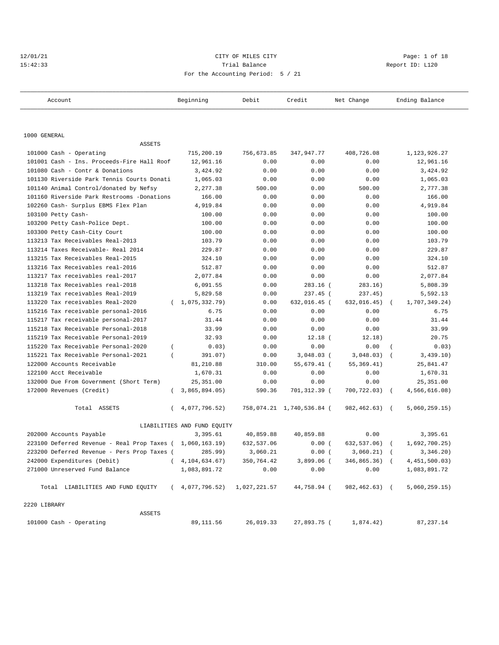## 12/01/21 CITY OF MILES CITY Page: 1 of 18 15:42:33 Trial Balance Report ID: L120 For the Accounting Period: 5 / 21

| Account                                                   | Beginning                   | Debit      | Credit                    | Net Change            | Ending Balance  |
|-----------------------------------------------------------|-----------------------------|------------|---------------------------|-----------------------|-----------------|
|                                                           |                             |            |                           |                       |                 |
| 1000 GENERAL                                              |                             |            |                           |                       |                 |
| ASSETS                                                    |                             |            |                           |                       |                 |
| 101000 Cash - Operating                                   | 715,200.19                  | 756,673.85 | 347,947.77                | 408,726.08            | 1,123,926.27    |
| 101001 Cash - Ins. Proceeds-Fire Hall Roof                | 12,961.16                   | 0.00       | 0.00                      | 0.00                  | 12,961.16       |
| 101080 Cash - Contr & Donations                           | 3,424.92                    | 0.00       | 0.00                      | 0.00                  | 3,424.92        |
| 101130 Riverside Park Tennis Courts Donati                | 1,065.03                    | 0.00       | 0.00                      | 0.00                  | 1,065.03        |
| 101140 Animal Control/donated by Nefsy                    | 2,277.38                    | 500.00     | 0.00                      | 500.00                | 2,777.38        |
| 101160 Riverside Park Restrooms -Donations                | 166.00                      | 0.00       | 0.00                      | 0.00                  | 166.00          |
| 102260 Cash- Surplus EBMS Flex Plan                       | 4,919.84                    | 0.00       | 0.00                      | 0.00                  | 4,919.84        |
| 103100 Petty Cash-                                        | 100.00                      | 0.00       | 0.00                      | 0.00                  | 100.00          |
| 103200 Petty Cash-Police Dept.                            | 100.00                      | 0.00       | 0.00                      | 0.00                  | 100.00          |
| 103300 Petty Cash-City Court                              | 100.00                      | 0.00       | 0.00                      | 0.00                  | 100.00          |
| 113213 Tax Receivables Real-2013                          | 103.79                      | 0.00       | 0.00                      | 0.00                  | 103.79          |
| 113214 Taxes Receivable- Real 2014                        | 229.87                      | 0.00       | 0.00                      | 0.00                  | 229.87          |
| 113215 Tax Receivables Real-2015                          | 324.10                      | 0.00       | 0.00                      | 0.00                  | 324.10          |
| 113216 Tax Receivables real-2016                          | 512.87                      | 0.00       | 0.00                      | 0.00                  | 512.87          |
| 113217 Tax receivables real-2017                          | 2,077.84                    | 0.00       | 0.00                      | 0.00                  | 2,077.84        |
| 113218 Tax Receivables real-2018                          | 6,091.55                    | 0.00       | $283.16$ (                | 283.16)               | 5,808.39        |
| 113219 Tax receivables Real-2019                          | 5,829.58                    | 0.00       | 237.45 (                  | 237.45)               | 5,592.13        |
| 113220 Tax receivables Real-2020                          | (1, 075, 332.79)            | 0.00       | 632,016.45 (              | 632,016.45)           | 1,707,349.24)   |
| 115216 Tax receivable personal-2016                       | 6.75                        | 0.00       | 0.00                      | 0.00                  | 6.75            |
| 115217 Tax receivable personal-2017                       | 31.44                       | 0.00       | 0.00                      | 0.00                  | 31.44           |
| 115218 Tax Receivable Personal-2018                       | 33.99                       | 0.00       | 0.00                      | 0.00                  | 33.99           |
| 115219 Tax Receivable Personal-2019                       | 32.93                       | 0.00       | $12.18$ (                 | 12.18)                | 20.75           |
| 115220 Tax Receivable Personal-2020                       | 0.03)<br>$\left($           | 0.00       | 0.00                      | 0.00                  | 0.03)           |
| 115221 Tax Receivable Personal-2021                       | 391.07)                     | 0.00       | $3,048.03$ (              | 3,048.03)             | 3,439.10)       |
| 122000 Accounts Receivable                                | 81,210.88                   | 310.00     | 55,679.41 (               | 55, 369.41)           | 25,841.47       |
| 122100 Acct Receivable                                    | 1,670.31                    | 0.00       | 0.00                      | 0.00                  | 1,670.31        |
| 132000 Due From Government (Short Term)                   | 25, 351.00                  | 0.00       | 0.00                      | 0.00                  | 25, 351.00      |
| 172000 Revenues (Credit)                                  | 3,865,894.05)<br>$\left($   | 590.36     | 701,312.39 (              | 700,722.03) (         | 4,566,616.08)   |
| Total ASSETS                                              | 4,077,796.52)<br>$\left($   |            | 758,074.21 1,740,536.84 ( | 982,462.63) (         | 5,060,259.15)   |
|                                                           | LIABILITIES AND FUND EQUITY |            |                           |                       |                 |
| 202000 Accounts Payable                                   | 3,395.61                    | 40,859.88  | 40,859.88                 | 0.00                  | 3,395.61        |
| 223100 Deferred Revenue - Real Prop Taxes ( 1,060,163.19) |                             | 632,537.06 | 0.00(                     | $632, 537.06$ (       | 1,692,700.25    |
| 223200 Deferred Revenue - Pers Prop Taxes (               | 285.99)                     | 3,060.21   | $0.00$ (                  | 3,060.21) (           | 3,346.20)       |
| 242000 Expenditures (Debit)                               | (4, 104, 634.67)            | 350,764.42 | 3,899.06 (                | 346,865.36) (         | 4, 451, 500.03) |
| 271000 Unreserved Fund Balance                            | 1,083,891.72                | 0.00       | 0.00                      | 0.00                  | 1,083,891.72    |
| Total LIABILITIES AND FUND EQUITY                         | (4,077,796.52) 1,027,221.57 |            | 44,758.94 (               | 982,462.63) (         | 5,060,259.15)   |
| 2220 LIBRARY                                              |                             |            |                           |                       |                 |
| ASSETS                                                    |                             |            |                           |                       |                 |
| 101000 Cash - Operating                                   | 89, 111.56                  | 26,019.33  |                           | 27,893.75 ( 1,874.42) | 87,237.14       |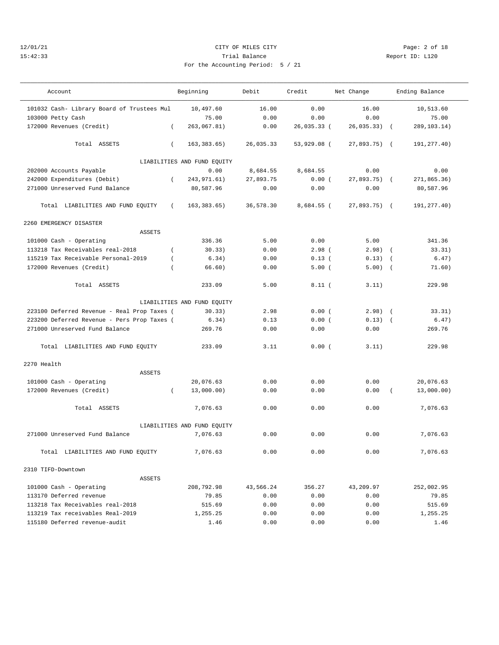## 12/01/21 CITY OF MILES CITY Page: 2 of 18 15:42:33 Trial Balance Report ID: L120 For the Accounting Period: 5 / 21

| 21 |  |  |  |
|----|--|--|--|

| Account                                     |            | Beginning                   | Debit<br>Net Change<br>Credit |             | Ending Balance |            |               |
|---------------------------------------------|------------|-----------------------------|-------------------------------|-------------|----------------|------------|---------------|
| 101032 Cash- Library Board of Trustees Mul  |            | 10,497.60                   | 16.00                         | 0.00        | 16.00          |            | 10,513.60     |
| 103000 Petty Cash                           |            | 75.00                       | 0.00                          | 0.00        | 0.00           |            | 75.00         |
| 172000 Revenues (Credit)                    | $\left($   | 263,067.81)                 | 0.00                          | 26,035.33 ( | 26,035.33)     | $\sqrt{2}$ | 289, 103. 14) |
| Total ASSETS                                | $\left($   | 163, 383.65)                | 26,035.33                     | 53,929.08 ( | 27,893.75) (   |            | 191,277.40)   |
|                                             |            | LIABILITIES AND FUND EQUITY |                               |             |                |            |               |
| 202000 Accounts Payable                     |            | 0.00                        | 8,684.55                      | 8,684.55    | 0.00           |            | 0.00          |
| 242000 Expenditures (Debit)                 | $\left($   | 243, 971.61)                | 27,893.75                     | 0.00(       | 27,893.75) (   |            | 271,865.36)   |
| 271000 Unreserved Fund Balance              |            | 80,587.96                   | 0.00                          | 0.00        | 0.00           |            | 80,587.96     |
| Total LIABILITIES AND FUND EQUITY           | $\sqrt{2}$ | 163, 383.65)                | 36,578.30                     | 8,684.55 (  | $27,893.75$ (  |            | 191, 277.40)  |
| 2260 EMERGENCY DISASTER                     |            |                             |                               |             |                |            |               |
| <b>ASSETS</b>                               |            |                             |                               |             |                |            |               |
| 101000 Cash - Operating                     |            | 336.36                      | 5.00                          | 0.00        | 5.00           |            | 341.36        |
| 113218 Tax Receivables real-2018            | $\left($   | 30.33)                      | 0.00                          | $2.98$ (    | $2.98$ ) (     |            | 33.31)        |
| 115219 Tax Receivable Personal-2019         | $\left($   | 6.34)                       | 0.00                          | $0.13$ (    | 0.13)          | $\sqrt{2}$ | 6.47)         |
| 172000 Revenues (Credit)                    | $\left($   | 66.60)                      | 0.00                          | 5.00(       | 5.00)          | $\sqrt{2}$ | 71.60)        |
| Total ASSETS                                |            | 233.09                      | 5.00                          | 8.11(       | 3.11)          |            | 229.98        |
|                                             |            | LIABILITIES AND FUND EQUITY |                               |             |                |            |               |
| 223100 Deferred Revenue - Real Prop Taxes ( |            | 30.33)                      | 2.98                          | 0.00(       | $2.98$ $($     |            | 33.31)        |
| 223200 Deferred Revenue - Pers Prop Taxes ( |            | 6.34)                       | 0.13                          | 0.00(       | $0.13)$ (      |            | 6.47)         |
| 271000 Unreserved Fund Balance              |            | 269.76                      | 0.00                          | 0.00        | 0.00           |            | 269.76        |
| Total LIABILITIES AND FUND EQUITY           |            | 233.09                      | 3.11                          | 0.00(       | 3.11)          |            | 229.98        |
| 2270 Health                                 |            |                             |                               |             |                |            |               |
| <b>ASSETS</b>                               |            |                             |                               |             |                |            |               |
| 101000 Cash - Operating                     |            | 20,076.63                   | 0.00                          | 0.00        | 0.00           |            | 20,076.63     |
| 172000 Revenues (Credit)                    | $\left($   | 13,000.00)                  | 0.00                          | 0.00        | 0.00           |            | 13,000.00)    |
| Total ASSETS                                |            | 7,076.63                    | 0.00                          | 0.00        | 0.00           |            | 7,076.63      |
|                                             |            | LIABILITIES AND FUND EQUITY |                               |             |                |            |               |
| 271000 Unreserved Fund Balance              |            | 7,076.63                    | 0.00                          | 0.00        | 0.00           |            | 7,076.63      |
| Total LIABILITIES AND FUND EQUITY           |            | 7,076.63                    | 0.00                          | 0.00        | 0.00           |            | 7,076.63      |
| 2310 TIFD-Downtown                          |            |                             |                               |             |                |            |               |
| ASSETS                                      |            |                             |                               |             |                |            |               |
| 101000 Cash - Operating                     |            | 208,792.98                  | 43,566.24                     | 356.27      | 43,209.97      |            | 252,002.95    |
| 113170 Deferred revenue                     |            | 79.85                       | 0.00                          | 0.00        | 0.00           |            | 79.85         |
| 113218 Tax Receivables real-2018            |            | 515.69                      | 0.00                          | 0.00        | 0.00           |            | 515.69        |
| 113219 Tax receivables Real-2019            |            | 1,255.25                    | 0.00                          | 0.00        | 0.00           |            | 1,255.25      |
| 115180 Deferred revenue-audit               |            | 1.46                        | 0.00                          | 0.00        | 0.00           |            | 1.46          |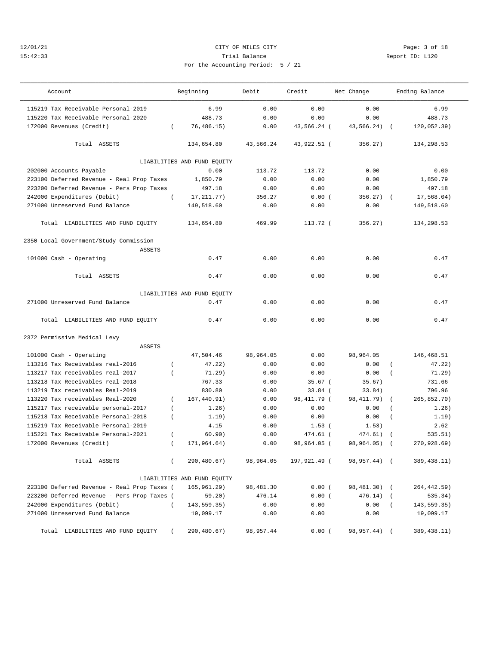## 12/01/21 CITY OF MILES CITY Page: 3 of 18 15:42:33 Trial Balance Report ID: L120 For the Accounting Period: 5 / 21

| Account                                     | Beginning                   | Debit     | Credit       | Net Change   | Ending Balance            |
|---------------------------------------------|-----------------------------|-----------|--------------|--------------|---------------------------|
| 115219 Tax Receivable Personal-2019         | 6.99                        | 0.00      | 0.00         | 0.00         | 6.99                      |
| 115220 Tax Receivable Personal-2020         | 488.73                      | 0.00      | 0.00         | 0.00         | 488.73                    |
| 172000 Revenues (Credit)                    | 76, 486.15)<br>$\left($     | 0.00      | 43,566.24 (  | 43,566.24)   | 120,052.39)               |
| Total ASSETS                                | 134,654.80                  | 43,566.24 | 43,922.51 (  | 356.27)      | 134,298.53                |
|                                             | LIABILITIES AND FUND EQUITY |           |              |              |                           |
| 202000 Accounts Payable                     | 0.00                        | 113.72    | 113.72       | 0.00         | 0.00                      |
| 223100 Deferred Revenue - Real Prop Taxes   | 1,850.79                    | 0.00      | 0.00         | 0.00         | 1,850.79                  |
| 223200 Deferred Revenue - Pers Prop Taxes   | 497.18                      | 0.00      | 0.00         | 0.00         | 497.18                    |
| 242000 Expenditures (Debit)                 | 17, 211. 77)<br>$\left($    | 356.27    | 0.00(        | 356.27)      | 17,568.04)<br>$\sqrt{2}$  |
| 271000 Unreserved Fund Balance              | 149,518.60                  | 0.00      | 0.00         | 0.00         | 149,518.60                |
| Total LIABILITIES AND FUND EQUITY           | 134,654.80                  | 469.99    | 113.72 (     | 356.27)      | 134,298.53                |
| 2350 Local Government/Study Commission      |                             |           |              |              |                           |
| <b>ASSETS</b>                               |                             |           |              |              |                           |
| 101000 Cash - Operating                     | 0.47                        | 0.00      | 0.00         | 0.00         | 0.47                      |
| Total ASSETS                                | 0.47                        | 0.00      | 0.00         | 0.00         | 0.47                      |
|                                             | LIABILITIES AND FUND EQUITY |           |              |              |                           |
| 271000 Unreserved Fund Balance              | 0.47                        | 0.00      | 0.00         | 0.00         | 0.47                      |
| Total LIABILITIES AND FUND EQUITY           | 0.47                        | 0.00      | 0.00         | 0.00         | 0.47                      |
| 2372 Permissive Medical Levy                |                             |           |              |              |                           |
| <b>ASSETS</b>                               |                             |           |              |              |                           |
| 101000 Cash - Operating                     | 47,504.46                   | 98,964.05 | 0.00         | 98,964.05    | 146,468.51                |
| 113216 Tax Receivables real-2016            | 47.22)<br>$\left($          | 0.00      | 0.00         | 0.00         | 47.22)<br>$\left($        |
| 113217 Tax receivables real-2017            | 71.29)<br>$\left($          | 0.00      | 0.00         | 0.00         | 71.29)<br>$\left($        |
| 113218 Tax Receivables real-2018            | 767.33                      | 0.00      | $35.67$ (    | 35.67)       | 731.66                    |
| 113219 Tax receivables Real-2019            | 830.80                      | 0.00      | $33.84$ (    | 33.84)       | 796.96                    |
| 113220 Tax receivables Real-2020            | 167,440.91)<br>$\left($     | 0.00      | 98, 411.79 ( | 98, 411.79)  | 265,852.70)<br>$\left($   |
| 115217 Tax receivable personal-2017         | 1.26)<br>$\overline{ }$     | 0.00      | 0.00         | 0.00         | 1.26)<br>$\left($         |
| 115218 Tax Receivable Personal-2018         | 1.19)<br>$\left($           | 0.00      | 0.00         | 0.00         | 1.19)<br>$\overline{(\ }$ |
| 115219 Tax Receivable Personal-2019         | 4.15                        | 0.00      | 1.53(        | 1.53)        | 2.62                      |
| 115221 Tax Receivable Personal-2021         | 60.90)<br>$\overline{ }$    | 0.00      | 474.61 (     | 474.61)      | 535.51)                   |
| 172000 Revenues (Credit)                    | 171,964.64)<br>$\left($     | 0.00      | 98,964.05 (  | 98,964.05)   | 270,928.69)<br>$\sqrt{2}$ |
| Total ASSETS                                | 290,480.67)<br>$\left($     | 98,964.05 | 197,921.49 ( | 98,957.44) ( | 389, 438.11)              |
|                                             | LIABILITIES AND FUND EQUITY |           |              |              |                           |
| 223100 Deferred Revenue - Real Prop Taxes ( | 165, 961.29)                | 98,481.30 | 0.00(        | 98,481.30) ( | 264,442.59)               |
| 223200 Deferred Revenue - Pers Prop Taxes ( | 59.20)                      | 476.14    | 0.00(        | 476.14)      | 535.34)<br>$\sqrt{2}$     |
| 242000 Expenditures (Debit)                 | 143,559.35)<br>$\left($     | 0.00      | 0.00         | 0.00         | 143, 559.35)<br>$\left($  |
| 271000 Unreserved Fund Balance              | 19,099.17                   | 0.00      | 0.00         | 0.00         | 19,099.17                 |
| Total LIABILITIES AND FUND EQUITY           | 290,480.67)                 | 98,957.44 | 0.00(        | 98,957.44)   | 389, 438.11)              |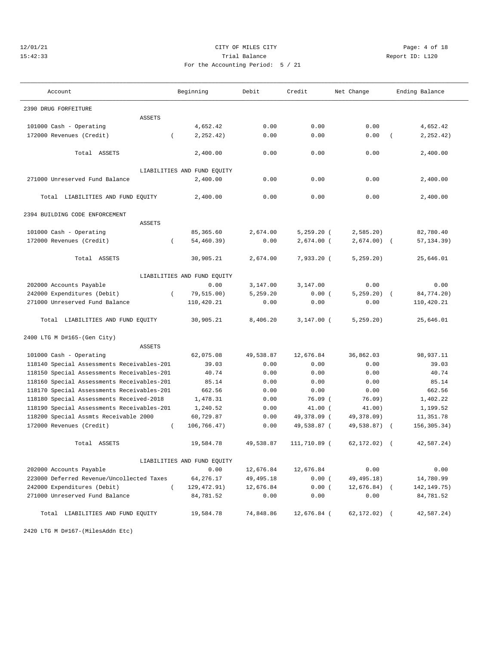## 12/01/21 CITY OF MILES CITY Page: 4 of 18 15:42:33 Trial Balance Report ID: L120 For the Accounting Period: 5 / 21

| Account                                    |                | Beginning                   | Debit       | Credit       | Net Change      |            | Ending Balance |
|--------------------------------------------|----------------|-----------------------------|-------------|--------------|-----------------|------------|----------------|
| 2390 DRUG FORFEITURE                       |                |                             |             |              |                 |            |                |
| <b>ASSETS</b>                              |                |                             |             |              |                 |            |                |
| 101000 Cash - Operating                    |                | 4,652.42                    | 0.00        | 0.00         | 0.00            |            | 4,652.42       |
| 172000 Revenues (Credit)                   | $\left($       | 2, 252.42)                  | 0.00        | 0.00         | 0.00            | $\left($   | 2, 252.42)     |
|                                            |                |                             |             |              |                 |            |                |
| Total ASSETS                               |                | 2,400.00                    | 0.00        | 0.00         | 0.00            |            | 2,400.00       |
|                                            |                | LIABILITIES AND FUND EQUITY |             |              |                 |            |                |
| 271000 Unreserved Fund Balance             |                | 2,400.00                    | 0.00        | 0.00         | 0.00            |            | 2,400.00       |
|                                            |                |                             |             |              |                 |            |                |
| Total LIABILITIES AND FUND EQUITY          |                | 2,400.00                    | 0.00        | 0.00         | 0.00            |            | 2,400.00       |
| 2394 BUILDING CODE ENFORCEMENT             |                |                             |             |              |                 |            |                |
| <b>ASSETS</b>                              |                |                             |             |              |                 |            |                |
| 101000 Cash - Operating                    |                | 85, 365.60                  | 2,674.00    | $5,259.20$ ( | 2,585.20        |            | 82,780.40      |
| 172000 Revenues (Credit)                   | $\left($       | 54,460.39)                  | 0.00        | $2,674.00$ ( | 2,674.00)       | $\sqrt{2}$ | 57, 134.39)    |
|                                            |                |                             |             |              |                 |            |                |
| Total ASSETS                               |                | 30,905.21                   | 2,674.00    | $7,933.20$ ( | 5, 259.20)      |            | 25,646.01      |
|                                            |                | LIABILITIES AND FUND EQUITY |             |              |                 |            |                |
| 202000 Accounts Payable                    |                | 0.00                        | 3,147.00    | 3,147.00     | 0.00            |            | 0.00           |
| 242000 Expenditures (Debit)                | $\overline{ }$ | 79,515.00)                  | 5,259.20    | 0.00(        | 5, 259.20)      |            | 84,774.20)     |
| 271000 Unreserved Fund Balance             |                | 110,420.21                  | 0.00        | 0.00         | 0.00            |            | 110,420.21     |
| Total LIABILITIES AND FUND EQUITY          |                | 30,905.21                   | 8,406.20    | $3,147.00$ ( | 5, 259.20)      |            | 25,646.01      |
| 2400 LTG M D#165-(Gen City)                |                |                             |             |              |                 |            |                |
| <b>ASSETS</b>                              |                |                             |             |              |                 |            |                |
| 101000 Cash - Operating                    |                | 62,075.08                   | 49,538.87   | 12,676.84    | 36,862.03       |            | 98,937.11      |
| 118140 Special Assessments Receivables-201 |                | 39.03                       | 0.00        | 0.00         | 0.00            |            | 39.03          |
| 118150 Special Assessments Receivables-201 |                | 40.74                       | 0.00        | 0.00         | 0.00            |            | 40.74          |
| 118160 Special Assessments Receivables-201 |                | 85.14                       | 0.00        | 0.00         | 0.00            |            | 85.14          |
| 118170 Special Assessments Receivables-201 |                | 662.56                      | 0.00        | 0.00         | 0.00            |            | 662.56         |
| 118180 Special Assessments Received-2018   |                | 1,478.31                    | 0.00        | $76.09$ (    | 76.09)          |            | 1,402.22       |
| 118190 Special Assessments Receivables-201 |                | 1,240.52                    | 0.00        | $41.00$ (    | 41.00)          |            | 1,199.52       |
| 118200 Special Assmts Receivable 2000      |                | 60,729.87                   | 0.00        | 49,378.09 (  | 49,378.09)      |            | 11,351.78      |
| 172000 Revenues (Credit)                   | $\left($       | 106,766.47)                 | 0.00        | 49,538.87 (  | 49,538.87)      |            | 156, 305. 34)  |
| Total ASSETS                               |                | 19,584.78                   | 49,538.87   | 111,710.89 ( | 62,172.02)      |            | 42,587.24)     |
|                                            |                | LIABILITIES AND FUND EQUITY |             |              |                 |            |                |
| 202000 Accounts Payable                    |                | 0.00                        | 12,676.84   | 12,676.84    | 0.00            |            | 0.00           |
| 223000 Deferred Revenue/Uncollected Taxes  |                | 64,276.17                   | 49, 495. 18 | 0.00(        | 49, 495. 18)    |            | 14,780.99      |
| 242000 Expenditures (Debit)                | $\left($       | 129, 472.91)                | 12,676.84   | 0.00(        | $12,676.84$ (   |            | 142, 149. 75)  |
| 271000 Unreserved Fund Balance             |                | 84,781.52                   | 0.00        | 0.00         | 0.00            |            | 84,781.52      |
| Total LIABILITIES AND FUND EQUITY          |                | 19,584.78                   | 74,848.86   | 12,676.84 (  | $62, 172.02)$ ( |            | 42,587.24)     |

2420 LTG M D#167-(MilesAddn Etc)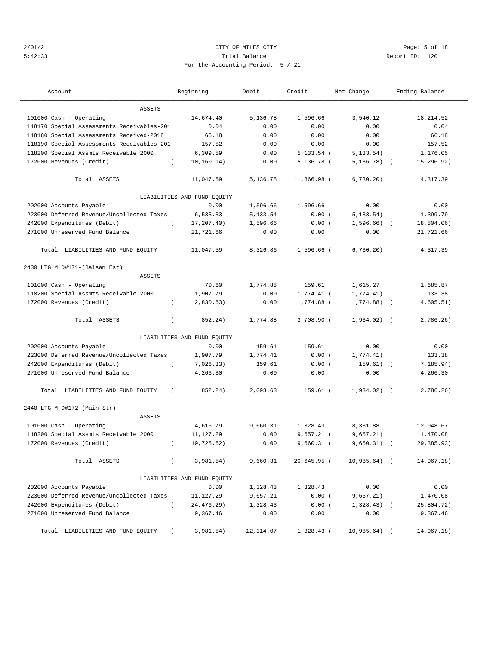## 12/01/21 CITY OF MILES CITY Page: 5 of 18 15:42:33 Trial Balance Report ID: L120 For the Accounting Period: 5 / 21

|  |  | ---1 |
|--|--|------|
|  |  |      |
|  |  |      |
|  |  |      |

| Account                                    |          | Beginning                   | Debit     | Credit        | Net Change     |            | Ending Balance |
|--------------------------------------------|----------|-----------------------------|-----------|---------------|----------------|------------|----------------|
| <b>ASSETS</b>                              |          |                             |           |               |                |            |                |
| 101000 Cash - Operating                    |          | 14,674.40                   | 5,136.78  | 1,596.66      | 3,540.12       |            | 18,214.52      |
| 118170 Special Assessments Receivables-201 |          | 0.04                        | 0.00      | 0.00          | 0.00           |            | 0.04           |
| 118180 Special Assessments Received-2018   |          | 66.18                       | 0.00      | 0.00          | 0.00           |            | 66.18          |
| 118190 Special Assessments Receivables-201 |          | 157.52                      | 0.00      | 0.00          | 0.00           |            | 157.52         |
| 118200 Special Assmts Receivable 2000      |          | 6,309.59                    | 0.00      | $5, 133.54$ ( | 5, 133.54)     |            | 1,176.05       |
| 172000 Revenues (Credit)                   | $\left($ | 10, 160.14)                 | 0.00      | $5,136.78$ (  | 5, 136.78)     |            | 15,296.92)     |
| Total ASSETS                               |          | 11,047.59                   | 5,136.78  | 11,866.98 (   | 6,730.20)      |            | 4,317.39       |
|                                            |          | LIABILITIES AND FUND EQUITY |           |               |                |            |                |
| 202000 Accounts Payable                    |          | 0.00                        | 1,596.66  | 1,596.66      | 0.00           |            | 0.00           |
| 223000 Deferred Revenue/Uncollected Taxes  |          | 6,533.33                    | 5,133.54  | 0.00(         | 5, 133.54)     |            | 1,399.79       |
| 242000 Expenditures (Debit)                |          | 17,207.40)                  | 1,596.66  | 0.00(         | $1,596.66$ ) ( |            | 18,804.06)     |
| 271000 Unreserved Fund Balance             |          | 21,721.66                   | 0.00      | 0.00          | 0.00           |            | 21,721.66      |
| Total LIABILITIES AND FUND EQUITY          |          | 11,047.59                   | 8,326.86  | 1,596.66 (    | 6,730.20)      |            | 4,317.39       |
| 2430 LTG M D#171-(Balsam Est)              |          |                             |           |               |                |            |                |
| <b>ASSETS</b>                              |          |                             |           |               |                |            |                |
| 101000 Cash - Operating                    |          | 70.60                       | 1,774.88  | 159.61        | 1,615.27       |            | 1,685.87       |
| 118200 Special Assmts Receivable 2000      |          | 1,907.79                    | 0.00      | $1,774.41$ (  | 1,774.41)      |            | 133.38         |
| 172000 Revenues (Credit)                   | $\left($ | 2,830.63)                   | 0.00      | 1,774.88 (    | 1,774.88)      | $\sqrt{2}$ | 4,605.51)      |
| Total ASSETS                               | $\left($ | 852.24)                     | 1,774.88  | 3,708.90 (    | $1,934.02$ (   |            | 2,786.26)      |
|                                            |          | LIABILITIES AND FUND EQUITY |           |               |                |            |                |
| 202000 Accounts Payable                    |          | 0.00                        | 159.61    | 159.61        | 0.00           |            | 0.00           |
| 223000 Deferred Revenue/Uncollected Taxes  |          | 1,907.79                    | 1,774.41  | 0.00(         | 1,774.41)      |            | 133.38         |
| 242000 Expenditures (Debit)                | $\left($ | 7,026.33)                   | 159.61    | 0.00(         | 159.61)        | $\sqrt{ }$ | 7, 185.94)     |
| 271000 Unreserved Fund Balance             |          | 4,266.30                    | 0.00      | 0.00          | 0.00           |            | 4,266.30       |
| Total LIABILITIES AND FUND EQUITY          | $\left($ | 852.24)                     | 2,093.63  | $159.61$ (    | $1,934.02)$ (  |            | 2,786.26)      |
| 2440 LTG M D#172-(Main Str)                |          |                             |           |               |                |            |                |
| <b>ASSETS</b>                              |          |                             |           |               |                |            |                |
| 101000 Cash - Operating                    |          | 4,616.79                    | 9,660.31  | 1,328.43      | 8,331.88       |            | 12,948.67      |
| 118200 Special Assmts Receivable 2000      |          | 11,127.29                   | 0.00      | $9,657.21$ (  | 9,657.21)      |            | 1,470.08       |
| 172000 Revenues (Credit)                   | $\left($ | 19,725.62)                  | 0.00      | 9,660.31 (    | 9,660.31)      |            | 29,385.93)     |
| Total ASSETS                               | $\left($ | 3,981.54)                   | 9,660.31  | 20,645.95 (   | $10,985.64$ (  |            | 14,967.18)     |
|                                            |          | LIABILITIES AND FUND EQUITY |           |               |                |            |                |
| 202000 Accounts Payable                    |          | 0.00                        | 1,328.43  | 1,328.43      | 0.00           |            | 0.00           |
| 223000 Deferred Revenue/Uncollected Taxes  |          | 11,127.29                   | 9,657.21  | 0.00(         | 9,657.21)      |            | 1,470.08       |
| 242000 Expenditures (Debit)                | $\left($ | 24,476.29)                  | 1,328.43  | 0.00(         | $1,328.43$ (   |            | 25,804.72)     |
| 271000 Unreserved Fund Balance             |          | 9,367.46                    | 0.00      | 0.00          | 0.00           |            | 9,367.46       |
| Total LIABILITIES AND FUND EQUITY          |          | 3,981.54)                   | 12,314.07 | $1,328.43$ (  | $10,985.64$ (  |            | 14,967.18)     |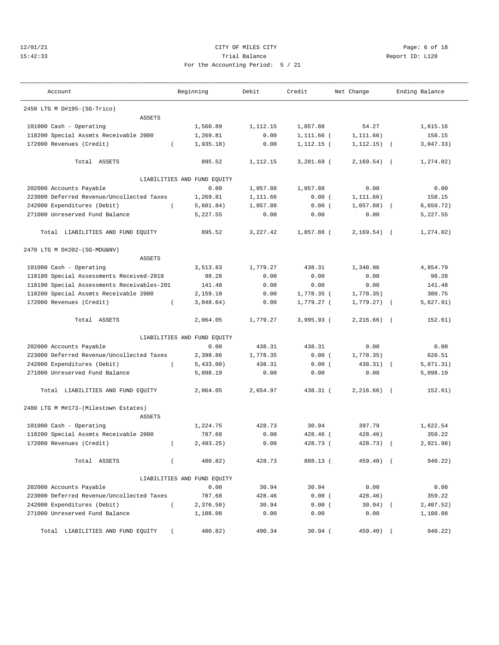# 12/01/21 CITY OF MILES CITY Page: 6 of 18 15:42:33 Trial Balance Report ID: L120 For the Accounting Period: 5 / 21

|  | $\cdot$ iod: 5 / 21 |  |
|--|---------------------|--|

| Account                                               | Beginning                   | Debit    | Credit       | Net Change     | Ending Balance |            |
|-------------------------------------------------------|-----------------------------|----------|--------------|----------------|----------------|------------|
| 2450 LTG M D#195-(SG-Trico)                           |                             |          |              |                |                |            |
| <b>ASSETS</b>                                         |                             |          |              |                |                |            |
| 101000 Cash - Operating                               | 1,560.89                    | 1,112.15 | 1,057.88     | 54.27          |                | 1,615.16   |
| 118200 Special Assmts Receivable 2000                 | 1,269.81                    | 0.00     | 1,111.66 (   | 1,111.66)      |                | 158.15     |
| 172000 Revenues (Credit)                              | 1,935.18)<br>$\left($       | 0.00     | $1,112.15$ ( | $1, 112.15)$ ( |                | 3,047.33)  |
| Total ASSETS                                          | 895.52                      | 1,112.15 | $3,281.69$ ( | $2,169.54)$ (  |                | 1, 274.02) |
|                                                       | LIABILITIES AND FUND EQUITY |          |              |                |                |            |
| 202000 Accounts Payable                               | 0.00                        | 1,057.88 | 1,057.88     | 0.00           |                | 0.00       |
| 223000 Deferred Revenue/Uncollected Taxes             | 1,269.81                    | 1,111.66 | 0.00(        | 1, 111.66)     |                | 158.15     |
| 242000 Expenditures (Debit)                           | $\left($<br>5,601.84)       | 1,057.88 | 0.00(        | $1,057.88$ (   |                | 6,659.72)  |
| 271000 Unreserved Fund Balance                        | 5,227.55                    | 0.00     | 0.00         | 0.00           |                | 5,227.55   |
| Total LIABILITIES AND FUND EQUITY                     | 895.52                      | 3,227.42 | 1,057.88 (   | $2,169.54)$ (  |                | 1,274.02)  |
| 2470 LTG M D#202-(SG-MDU&NV)                          |                             |          |              |                |                |            |
| <b>ASSETS</b>                                         |                             |          |              |                |                |            |
| 101000 Cash - Operating                               | 3,513.83                    | 1,779.27 | 438.31       | 1,340.96       |                | 4,854.79   |
| 118180 Special Assessments Received-2018              | 98.28                       | 0.00     | 0.00         | 0.00           |                | 98.28      |
| 118190 Special Assessments Receivables-201            | 141.48                      | 0.00     | 0.00         | 0.00           |                | 141.48     |
| 118200 Special Assmts Receivable 2000                 | 2,159.10                    | 0.00     | 1,778.35 (   | 1,778.35)      |                | 380.75     |
| 172000 Revenues (Credit)                              | 3,848.64)<br>$\left($       | 0.00     | 1,779.27 (   | 1,779.27)      |                | 5,627.91)  |
| Total ASSETS                                          | 2,064.05                    | 1,779.27 | $3,995.93$ ( | $2,216,66$ (   |                | 152.61)    |
|                                                       | LIABILITIES AND FUND EQUITY |          |              |                |                |            |
| 202000 Accounts Payable                               | 0.00                        | 438.31   | 438.31       | 0.00           |                | 0.00       |
| 223000 Deferred Revenue/Uncollected Taxes             | 2,398.86                    | 1,778.35 | 0.00(        | 1,778.35)      |                | 620.51     |
| 242000 Expenditures (Debit)                           | 5,433.00)<br>$\left($       | 438.31   | 0.00(        | 438.31)        | $\sqrt{2}$     | 5,871.31)  |
| 271000 Unreserved Fund Balance                        | 5,098.19                    | 0.00     | 0.00         | 0.00           |                | 5,098.19   |
| Total LIABILITIES AND FUND EQUITY                     | 2,064.05                    | 2,654.97 | 438.31 (     | $2,216.66$ (   |                | 152.61)    |
| 2480 LTG M M#173-(Milestown Estates)<br><b>ASSETS</b> |                             |          |              |                |                |            |
| 101000 Cash - Operating                               | 1,224.75                    | 428.73   | 30.94        | 397.79         |                | 1,622.54   |
|                                                       | 787.68                      | 0.00     | $428.46$ (   | 428.46)        |                | 359.22     |
| 118200 Special Assmts Receivable 2000                 |                             |          |              |                |                |            |
| 172000 Revenues (Credit)                              | 2,493.25)<br>$\left($       | 0.00     | 428.73 (     | 428.73)        | $\sqrt{2}$     | 2,921.98)  |
| Total ASSETS                                          | 480.82)<br>$\left($         | 428.73   | 888.13 (     | 459.40) (      |                | 940.22)    |
|                                                       | LIABILITIES AND FUND EQUITY |          |              |                |                |            |
| 202000 Accounts Payable                               | 0.00                        | 30.94    | 30.94        | 0.00           |                | 0.00       |
| 223000 Deferred Revenue/Uncollected Taxes             | 787.68                      | 428.46   | 0.00(        | 428.46)        |                | 359.22     |
| 242000 Expenditures (Debit)                           | $\left($<br>2,376.58)       | 30.94    | 0.00(        | $30.94)$ (     |                | 2,407.52)  |
| 271000 Unreserved Fund Balance                        | 1,108.08                    | 0.00     | 0.00         | 0.00           |                | 1,108.08   |
| Total LIABILITIES AND FUND EQUITY                     | 480.82)                     | 490.34   | $30.94$ (    | 459.40)        |                | 940.22)    |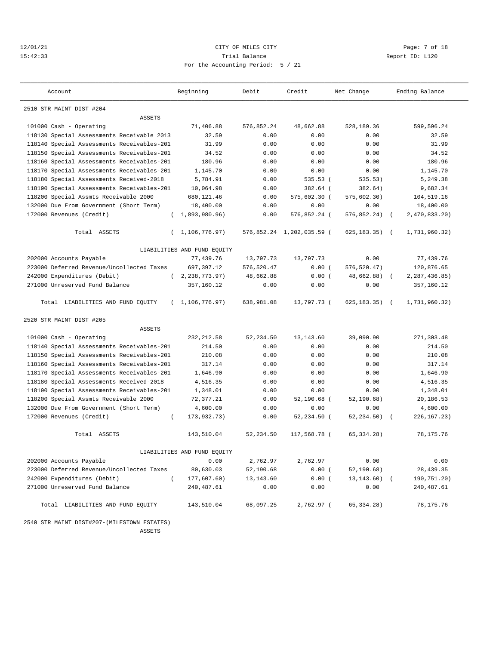## 12/01/21 CITY OF MILES CITY Page: 7 of 18 15:42:33 Trial Balance Report ID: L120 For the Accounting Period: 5 / 21

| Account                                       | Beginning                   | Debit      | Credit                    | Net Change       | Ending Balance              |
|-----------------------------------------------|-----------------------------|------------|---------------------------|------------------|-----------------------------|
| 2510 STR MAINT DIST #204                      |                             |            |                           |                  |                             |
| <b>ASSETS</b>                                 |                             |            |                           |                  |                             |
| 101000 Cash - Operating                       | 71,406.88                   | 576,852.24 | 48,662.88                 | 528,189.36       | 599,596.24                  |
| 118130 Special Assessments Receivable 2013    | 32.59                       | 0.00       | 0.00                      | 0.00             | 32.59                       |
| 118140 Special Assessments Receivables-201    | 31.99                       | 0.00       | 0.00                      | 0.00             | 31.99                       |
| 118150 Special Assessments Receivables-201    | 34.52                       | 0.00       | 0.00                      | 0.00             | 34.52                       |
| 118160 Special Assessments Receivables-201    | 180.96                      | 0.00       | 0.00                      | 0.00             | 180.96                      |
| 118170 Special Assessments Receivables-201    | 1,145.70                    | 0.00       | 0.00                      | 0.00             | 1,145.70                    |
| 118180 Special Assessments Received-2018      | 5,784.91                    | 0.00       | $535.53$ (                | 535.53)          | 5,249.38                    |
| 118190 Special Assessments Receivables-201    | 10,064.98                   | 0.00       | 382.64 (                  | 382.64)          | 9,682.34                    |
| 118200 Special Assmts Receivable 2000         | 680,121.46                  | 0.00       | 575,602.30 (              | 575, 602.30)     | 104,519.16                  |
| 132000 Due From Government (Short Term)       | 18,400.00                   | 0.00       | 0.00                      | 0.00             | 18,400.00                   |
| 172000 Revenues (Credit)                      | 1,893,980.96)               | 0.00       | 576,852.24 (              | 576,852.24)      | 2,470,833.20)<br>$\left($   |
| Total ASSETS<br>$\left($                      | 1,106,776.97)               |            | 576,852.24 1,202,035.59 ( | $625, 183.35$ (  | 1,731,960.32)               |
|                                               | LIABILITIES AND FUND EQUITY |            |                           |                  |                             |
| 202000 Accounts Payable                       | 77,439.76                   | 13,797.73  | 13,797.73                 | 0.00             | 77,439.76                   |
| 223000 Deferred Revenue/Uncollected Taxes     | 697,397.12                  | 576,520.47 | 0.00(                     | 576,520.47)      | 120,876.65                  |
| 242000 Expenditures (Debit)                   | (2, 238, 773.97)            | 48,662.88  | 0.00(                     | 48,662.88)       | 2, 287, 436.85              |
| 271000 Unreserved Fund Balance                | 357,160.12                  | 0.00       | 0.00                      | 0.00             | 357,160.12                  |
| Total LIABILITIES AND FUND EQUITY<br>$\left($ | 1,106,776.97)               | 638,981.08 | 13,797.73 (               | $625, 183.35)$ ( | 1,731,960.32)               |
| 2520 STR MAINT DIST #205                      |                             |            |                           |                  |                             |
| <b>ASSETS</b>                                 |                             |            |                           |                  |                             |
| 101000 Cash - Operating                       | 232, 212.58                 | 52,234.50  | 13,143.60                 | 39,090.90        | 271,303.48                  |
| 118140 Special Assessments Receivables-201    | 214.50                      | 0.00       | 0.00                      | 0.00             | 214.50                      |
| 118150 Special Assessments Receivables-201    | 210.08                      | 0.00       | 0.00                      | 0.00             | 210.08                      |
| 118160 Special Assessments Receivables-201    | 317.14                      | 0.00       | 0.00                      | 0.00             | 317.14                      |
| 118170 Special Assessments Receivables-201    | 1,646.90                    | 0.00       | 0.00                      | 0.00             | 1,646.90                    |
| 118180 Special Assessments Received-2018      | 4,516.35                    | 0.00       | 0.00                      | 0.00             | 4,516.35                    |
| 118190 Special Assessments Receivables-201    | 1,348.01                    | 0.00       | 0.00                      | 0.00             | 1,348.01                    |
| 118200 Special Assmts Receivable 2000         | 72,377.21                   | 0.00       | 52,190.68 (               | 52, 190, 68)     | 20,186.53                   |
| 132000 Due From Government (Short Term)       | 4,600.00                    | 0.00       | 0.00                      | 0.00             | 4,600.00                    |
| 172000 Revenues (Credit)<br>$\left($          | 173,932.73)                 | 0.00       | 52,234.50 (               | 52, 234.50)      | 226, 167. 23)<br>$\sqrt{2}$ |
| Total ASSETS                                  | 143,510.04                  | 52,234.50  | 117,568.78 (              | 65.334.28        | 78, 175. 76                 |
|                                               | LIABILITIES AND FUND EQUITY |            |                           |                  |                             |
| 202000 Accounts Payable                       | 0.00                        | 2,762.97   | 2,762.97                  | 0.00             | 0.00                        |
| 223000 Deferred Revenue/Uncollected Taxes     | 80,630.03                   | 52,190.68  | 0.00(                     | 52, 190.68)      | 28,439.35                   |
| 242000 Expenditures (Debit)<br>$\left($       | 177,607.60)                 | 13,143.60  | 0.00(                     | $13, 143.60$ (   | 190,751.20)                 |
| 271000 Unreserved Fund Balance                | 240,487.61                  | 0.00       | 0.00                      | 0.00             | 240,487.61                  |
| Total LIABILITIES AND FUND EQUITY             | 143,510.04                  | 68,097.25  | 2,762.97 (                | 65,334.28)       | 78,175.76                   |

2540 STR MAINT DIST#207-(MILESTOWN ESTATES)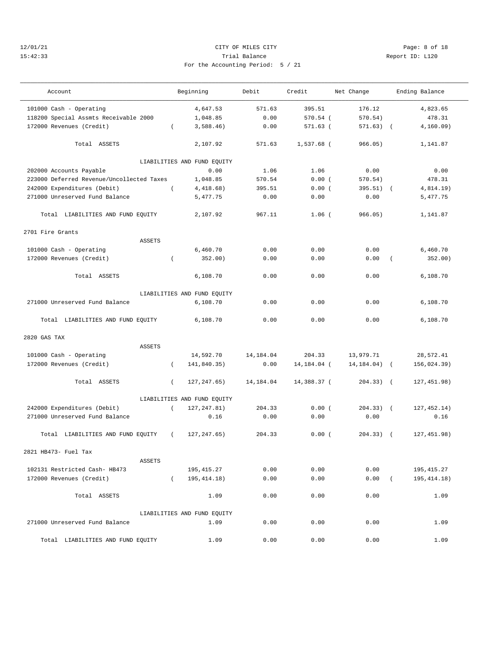# 12/01/21 CITY OF MILES CITY Page: 8 of 18 15:42:33 Trial Balance Report ID: L120 For the Accounting Period: 5 / 21

| Account                                   |          | Beginning                   | Debit     | Credit      | Net Change      |          | Ending Balance |
|-------------------------------------------|----------|-----------------------------|-----------|-------------|-----------------|----------|----------------|
| 101000 Cash - Operating                   |          | 4,647.53                    | 571.63    | 395.51      | 176.12          |          | 4,823.65       |
| 118200 Special Assmts Receivable 2000     |          | 1,048.85                    | 0.00      | 570.54 (    | 570.54)         |          | 478.31         |
| 172000 Revenues (Credit)                  | $\left($ | 3,588.46)                   | 0.00      | $571.63$ (  | $571.63)$ (     |          | 4, 160.09)     |
| Total ASSETS                              |          | 2,107.92                    | 571.63    | 1,537.68 (  | 966.05)         |          | 1,141.87       |
|                                           |          | LIABILITIES AND FUND EQUITY |           |             |                 |          |                |
| 202000 Accounts Payable                   |          | 0.00                        | 1.06      | 1.06        | 0.00            |          | 0.00           |
| 223000 Deferred Revenue/Uncollected Taxes |          | 1,048.85                    | 570.54    | 0.00(       | 570.54)         |          | 478.31         |
| 242000 Expenditures (Debit)               | $\left($ | 4,418.68)                   | 395.51    | 0.00(       | $395.51)$ (     |          | 4,814.19)      |
| 271000 Unreserved Fund Balance            |          | 5,477.75                    | 0.00      | 0.00        | 0.00            |          | 5,477.75       |
| Total LIABILITIES AND FUND EQUITY         |          | 2,107.92                    | 967.11    | $1.06$ (    | 966.05)         |          | 1,141.87       |
| 2701 Fire Grants                          |          |                             |           |             |                 |          |                |
| ASSETS                                    |          |                             |           |             |                 |          |                |
| 101000 Cash - Operating                   |          | 6,460.70                    | 0.00      | 0.00        | 0.00            |          | 6,460.70       |
| 172000 Revenues (Credit)                  | $\left($ | 352.00)                     | 0.00      | 0.00        | 0.00            | $\left($ | 352.00)        |
| Total ASSETS                              |          | 6,108.70                    | 0.00      | 0.00        | 0.00            |          | 6,108.70       |
|                                           |          | LIABILITIES AND FUND EQUITY |           |             |                 |          |                |
| 271000 Unreserved Fund Balance            |          | 6,108.70                    | 0.00      | 0.00        | 0.00            |          | 6,108.70       |
| Total LIABILITIES AND FUND EQUITY         |          | 6,108.70                    | 0.00      | 0.00        | 0.00            |          | 6,108.70       |
| 2820 GAS TAX                              |          |                             |           |             |                 |          |                |
| <b>ASSETS</b>                             |          |                             |           |             |                 |          |                |
| 101000 Cash - Operating                   |          | 14,592.70                   | 14,184.04 | 204.33      | 13,979.71       |          | 28,572.41      |
| 172000 Revenues (Credit)                  | $\left($ | 141,840.35)                 | 0.00      | 14,184.04 ( | $14, 184.04)$ ( |          | 156,024.39)    |
| Total ASSETS                              | $\left($ | 127, 247.65)                | 14,184.04 | 14,388.37 ( | $204.33)$ (     |          | 127, 451.98)   |
|                                           |          | LIABILITIES AND FUND EQUITY |           |             |                 |          |                |
| 242000 Expenditures (Debit)               | $\left($ | 127, 247.81)                | 204.33    | 0.00(       | $204.33)$ (     |          | 127,452.14)    |
| 271000 Unreserved Fund Balance            |          | 0.16                        | 0.00      | 0.00        | 0.00            |          | 0.16           |
| Total LIABILITIES AND FUND EQUITY         | $\left($ | 127, 247.65)                | 204.33    | 0.00(       | $204.33)$ (     |          | 127,451.98)    |
| 2821 HB473- Fuel Tax                      |          |                             |           |             |                 |          |                |
| ASSETS                                    |          |                             |           |             |                 |          |                |
| 102131 Restricted Cash- HB473             |          | 195,415.27                  | 0.00      | 0.00        | 0.00            |          | 195,415.27     |
| 172000 Revenues (Credit)                  | $\left($ | 195, 414. 18)               | 0.00      | 0.00        | 0.00            | $\left($ | 195, 414. 18)  |
| Total ASSETS                              |          | 1.09                        | 0.00      | 0.00        | 0.00            |          | 1.09           |
|                                           |          | LIABILITIES AND FUND EQUITY |           |             |                 |          |                |
| 271000 Unreserved Fund Balance            |          | 1.09                        | 0.00      | 0.00        | 0.00            |          | 1.09           |
| Total LIABILITIES AND FUND EQUITY         |          | 1.09                        | 0.00      | 0.00        | 0.00            |          | 1.09           |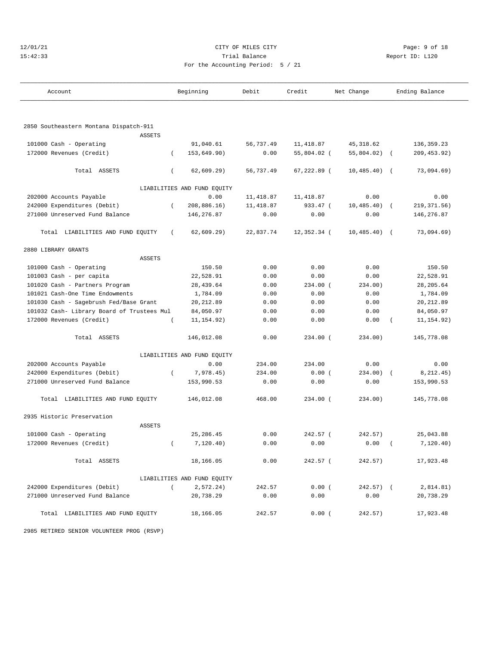| 127 | 0172 |  |  |
|-----|------|--|--|
|     |      |  |  |

## CITY OF MILES CITY **CHANGE CITY** Page: 9 of 18 15:42:33 Trial Balance Report ID: L120 For the Accounting Period: 5 / 21

| Account                                    |          | Beginning                   | Debit      | Credit         | Net Change   |            | Ending Balance |
|--------------------------------------------|----------|-----------------------------|------------|----------------|--------------|------------|----------------|
|                                            |          |                             |            |                |              |            |                |
| 2850 Southeastern Montana Dispatch-911     |          |                             |            |                |              |            |                |
| <b>ASSETS</b>                              |          |                             |            |                |              |            |                |
| 101000 Cash - Operating                    |          | 91,040.61                   | 56,737.49  | 11, 418.87     | 45, 318.62   |            | 136,359.23     |
| 172000 Revenues (Credit)                   | $\left($ | 153,649.90)                 | 0.00       | 55,804.02 (    | 55,804.02)   | $\sqrt{2}$ | 209, 453.92)   |
| Total ASSETS                               | $\left($ | 62,609.29)                  | 56,737.49  | $67, 222.89$ ( | 10, 485.40)  | $\sqrt{2}$ | 73,094.69)     |
|                                            |          | LIABILITIES AND FUND EQUITY |            |                |              |            |                |
| 202000 Accounts Payable                    |          | 0.00                        | 11,418.87  | 11, 418.87     | 0.00         |            | 0.00           |
| 242000 Expenditures (Debit)                | $\left($ | 208,886.16)                 | 11, 418.87 | 933.47 (       | 10, 485.40)  |            | 219, 371.56)   |
| 271000 Unreserved Fund Balance             |          | 146,276.87                  | 0.00       | 0.00           | 0.00         |            | 146,276.87     |
| Total LIABILITIES AND FUND EQUITY          | $\left($ | 62,609.29)                  | 22,837.74  | $12,352.34$ (  | 10,485.40)   | $\sqrt{2}$ | 73,094.69)     |
| 2880 LIBRARY GRANTS                        |          |                             |            |                |              |            |                |
| <b>ASSETS</b>                              |          |                             |            |                |              |            |                |
| 101000 Cash - Operating                    |          | 150.50                      | 0.00       | 0.00           | 0.00         |            | 150.50         |
| 101003 Cash - per capita                   |          | 22,528.91                   | 0.00       | 0.00           | 0.00         |            | 22,528.91      |
| 101020 Cash - Partners Program             |          | 28, 439.64                  | 0.00       | 234.00 (       | 234.00)      |            | 28, 205.64     |
| 101021 Cash-One Time Endowments            |          | 1,784.09                    | 0.00       | 0.00           | 0.00         |            | 1,784.09       |
| 101030 Cash - Sagebrush Fed/Base Grant     |          | 20, 212.89                  | 0.00       | 0.00           | 0.00         |            | 20, 212.89     |
| 101032 Cash- Library Board of Trustees Mul |          | 84,050.97                   | 0.00       | 0.00           | 0.00         |            | 84,050.97      |
| 172000 Revenues (Credit)                   | $\left($ | 11, 154.92)                 | 0.00       | 0.00           | 0.00         |            | 11, 154.92)    |
| Total ASSETS                               |          | 146,012.08                  | 0.00       | $234.00$ (     | 234.00)      |            | 145,778.08     |
|                                            |          | LIABILITIES AND FUND EQUITY |            |                |              |            |                |
| 202000 Accounts Payable                    |          | 0.00                        | 234.00     | 234.00         | 0.00         |            | 0.00           |
| 242000 Expenditures (Debit)                | $\left($ | 7,978.45)                   | 234.00     | 0.00(          | 234.00)      |            | 8, 212.45)     |
| 271000 Unreserved Fund Balance             |          | 153,990.53                  | 0.00       | 0.00           | 0.00         |            | 153,990.53     |
| Total LIABILITIES AND FUND EQUITY          |          | 146,012.08                  | 468.00     | $234.00$ (     | 234.00)      |            | 145,778.08     |
| 2935 Historic Preservation                 |          |                             |            |                |              |            |                |
| <b>ASSETS</b>                              |          |                             |            |                |              |            |                |
| 101000 Cash - Operating                    |          | 25, 286.45                  | 0.00       | 242.57 (       | 242.57)      |            | 25,043.88      |
| 172000 Revenues (Credit)                   | $\left($ | 7,120.40)                   | 0.00       | 0.00           | 0.00         |            | 7, 120.40)     |
| Total ASSETS                               |          | 18,166.05                   | 0.00       | $242.57$ (     | 242.57)      |            | 17,923.48      |
|                                            |          | LIABILITIES AND FUND EQUITY |            |                |              |            |                |
| 242000 Expenditures (Debit)                | $\left($ | 2,572.24)                   | 242.57     | 0.00(          | $242.57$ ) ( |            | 2,814.81)      |
| 271000 Unreserved Fund Balance             |          | 20,738.29                   | 0.00       | 0.00           | 0.00         |            | 20,738.29      |
| Total LIABILITIES AND FUND EQUITY          |          | 18,166.05                   | 242.57     | 0.00(          | 242.57)      |            | 17,923.48      |

2985 RETIRED SENIOR VOLUNTEER PROG (RSVP)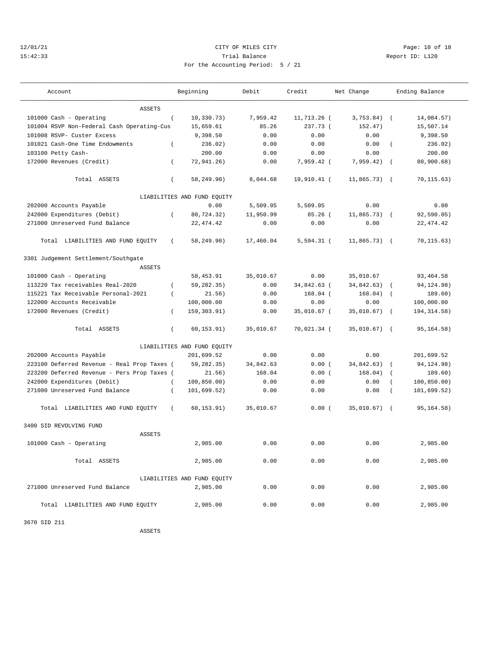## 12/01/21 Page: 10 of 18 15:42:33 Trial Balance Report ID: L120 For the Accounting Period: 5 / 21

| Account                                     |                | Beginning                   | Debit     | Credit       | Net Change    |                | Ending Balance |
|---------------------------------------------|----------------|-----------------------------|-----------|--------------|---------------|----------------|----------------|
| <b>ASSETS</b>                               |                |                             |           |              |               |                |                |
| 101000 Cash - Operating                     | $\overline{ }$ | 10, 330.73)                 | 7,959.42  | 11,713.26 (  | 3,753.84)     | $\sqrt{2}$     | 14,084.57)     |
| 101004 RSVP Non-Federal Cash Operating-Cus  |                | 15,659.61                   | 85.26     | 237.73 (     | 152.47)       |                | 15,507.14      |
| 101008 RSVP- Custer Excess                  |                | 9,398.50                    | 0.00      | 0.00         | 0.00          |                | 9,398.50       |
| 101021 Cash-One Time Endowments             | $\left($       | 236.02)                     | 0.00      | 0.00         | 0.00          | $\left($       | 236.02)        |
| 103100 Petty Cash-                          |                | 200.00                      | 0.00      | 0.00         | 0.00          |                | 200.00         |
| 172000 Revenues (Credit)                    | $\left($       | 72,941.26)                  | 0.00      | 7,959.42 (   | 7,959.42)     | $\sqrt{ }$     | 80.900.68      |
| Total ASSETS                                | $\left($       | 58,249.90)                  | 8,044.68  | 19,910.41 (  | $11,865.73$ ( |                | 70, 115.63)    |
|                                             |                | LIABILITIES AND FUND EQUITY |           |              |               |                |                |
| 202000 Accounts Payable                     |                | 0.00                        | 5,509.05  | 5,509.05     | 0.00          |                | 0.00           |
| 242000 Expenditures (Debit)                 | $\left($       | 80,724.32)                  | 11,950.99 | $85.26$ (    | 11,865.73)    |                | 92,590.05)     |
| 271000 Unreserved Fund Balance              |                | 22, 474.42                  | 0.00      | 0.00         | 0.00          |                | 22, 474.42     |
| Total LIABILITIES AND FUND EQUITY           | $\left($       | 58,249.90)                  | 17,460.04 | $5,594.31$ ( | 11,865.73)    | $\sqrt{2}$     | 70, 115.63)    |
| 3301 Judgement Settlement/Southgate         |                |                             |           |              |               |                |                |
| <b>ASSETS</b>                               |                |                             |           |              |               |                |                |
| 101000 Cash - Operating                     |                | 58,453.91                   | 35,010.67 | 0.00         | 35,010.67     |                | 93,464.58      |
| 113220 Tax receivables Real-2020            | $\left($       | 59,282.35)                  | 0.00      | 34,842.63 (  | 34,842.63)    | $\overline{ }$ | 94, 124. 98)   |
| 115221 Tax Receivable Personal-2021         | $\left($       | 21.56)                      | 0.00      | $168.04$ (   | 168.04)       | $\overline{ }$ | 189.60)        |
| 122000 Accounts Receivable                  |                | 100,000.00                  | 0.00      | 0.00         | 0.00          |                | 100,000.00     |
| 172000 Revenues (Credit)                    | $\left($       | 159, 303.91)                | 0.00      | 35,010.67 (  | 35,010.67)    | $\sqrt{2}$     | 194, 314.58)   |
| Total ASSETS                                | $\left($       | 60,153.91)                  | 35,010.67 | 70,021.34 (  | 35,010.67)    | $\sqrt{2}$     | 95,164.58)     |
|                                             |                | LIABILITIES AND FUND EQUITY |           |              |               |                |                |
| 202000 Accounts Payable                     |                | 201,699.52                  | 0.00      | 0.00         | 0.00          |                | 201,699.52     |
| 223100 Deferred Revenue - Real Prop Taxes ( |                | 59,282.35)                  | 34,842.63 | 0.00(        | 34,842.63)    |                | 94, 124. 98)   |
| 223200 Deferred Revenue - Pers Prop Taxes ( |                | 21.56)                      | 168.04    | 0.00(        | 168.04)       | $\overline{ }$ | 189.60)        |
| 242000 Expenditures (Debit)                 | $\left($       | 100, 850.00)                | 0.00      | 0.00         | 0.00          |                | 100, 850.00)   |
| 271000 Unreserved Fund Balance              | $\left($       | 101,699.52)                 | 0.00      | 0.00         | 0.00          | $\left($       | 101,699.52)    |
| Total LIABILITIES AND FUND EQUITY           | $\left($       | 60, 153.91)                 | 35,010.67 | 0.00(        | 35,010.67)    | $\sqrt{ }$     | 95,164.58)     |
| 3400 SID REVOLVING FUND                     |                |                             |           |              |               |                |                |
| <b>ASSETS</b>                               |                |                             |           |              |               |                |                |
| 101000 Cash - Operating                     |                | 2,985.00                    | 0.00      | 0.00         | 0.00          |                | 2,985.00       |
| Total ASSETS                                |                | 2,985.00                    | 0.00      | 0.00         | 0.00          |                | 2,985.00       |
|                                             |                | LIABILITIES AND FUND EQUITY |           |              |               |                |                |
| 271000 Unreserved Fund Balance              |                | 2,985.00                    | 0.00      | 0.00         | 0.00          |                | 2,985.00       |
| Total LIABILITIES AND FUND EQUITY           |                | 2,985.00                    | 0.00      | 0.00         | 0.00          |                | 2,985.00       |

3670 SID 211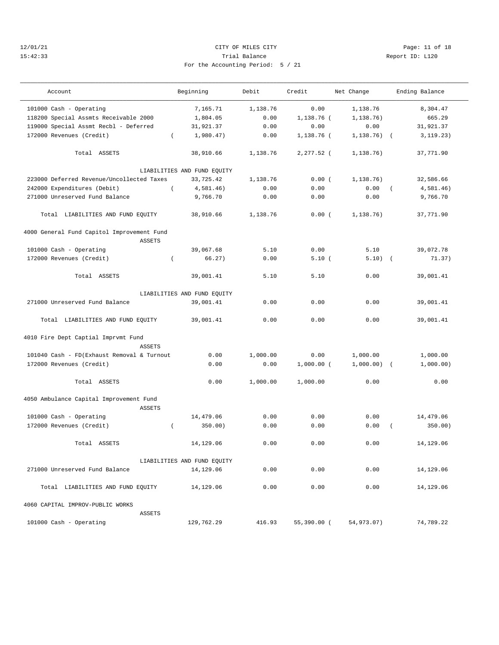## 12/01/21 Page: 11 of 18 15:42:33 Trial Balance Report ID: L120 For the Accounting Period: 5 / 21

| Account                                    |          | Beginning                   | Debit    | Credit       | Net Change    |            | Ending Balance |
|--------------------------------------------|----------|-----------------------------|----------|--------------|---------------|------------|----------------|
| 101000 Cash - Operating                    |          | 7,165.71                    | 1,138.76 | 0.00         | 1,138.76      |            | 8,304.47       |
| 118200 Special Assmts Receivable 2000      |          | 1,804.05                    | 0.00     | $1,138.76$ ( | 1,138.76)     |            | 665.29         |
| 119000 Special Assmt Recbl - Deferred      |          | 31,921.37                   | 0.00     | 0.00         | 0.00          |            | 31,921.37      |
| 172000 Revenues (Credit)                   | $\left($ | 1,980.47)                   | 0.00     | 1,138.76 (   | $1, 138.76$ ( |            | 3, 119.23)     |
|                                            |          |                             |          |              |               |            |                |
| Total ASSETS                               |          | 38,910.66                   | 1,138.76 | 2,277.52 (   | 1,138.76)     |            | 37,771.90      |
|                                            |          | LIABILITIES AND FUND EQUITY |          |              |               |            |                |
| 223000 Deferred Revenue/Uncollected Taxes  |          | 33,725.42                   | 1,138.76 | 0.00(        | 1, 138.76)    |            | 32,586.66      |
| 242000 Expenditures (Debit)                | $\left($ | 4,581.46)                   | 0.00     | 0.00         | 0.00          | $\sqrt{2}$ | 4,581.46)      |
| 271000 Unreserved Fund Balance             |          | 9,766.70                    | 0.00     | 0.00         | 0.00          |            | 9,766.70       |
| Total LIABILITIES AND FUND EQUITY          |          | 38,910.66                   | 1,138.76 | 0.00(        | 1,138.76)     |            | 37,771.90      |
| 4000 General Fund Capitol Improvement Fund |          |                             |          |              |               |            |                |
| <b>ASSETS</b>                              |          |                             |          |              |               |            |                |
| 101000 Cash - Operating                    |          | 39,067.68                   | 5.10     | 0.00         | 5.10          |            | 39,072.78      |
| 172000 Revenues (Credit)                   | $\left($ | 66.27)                      | 0.00     | 5.10(        | $5.10)$ (     |            | 71.37)         |
| Total ASSETS                               |          | 39,001.41                   | 5.10     | 5.10         | 0.00          |            | 39,001.41      |
|                                            |          |                             |          |              |               |            |                |
|                                            |          | LIABILITIES AND FUND EQUITY |          |              |               |            |                |
| 271000 Unreserved Fund Balance             |          | 39,001.41                   | 0.00     | 0.00         | 0.00          |            | 39,001.41      |
| Total LIABILITIES AND FUND EQUITY          |          | 39,001.41                   | 0.00     | 0.00         | 0.00          |            | 39,001.41      |
| 4010 Fire Dept Captial Imprvmt Fund        |          |                             |          |              |               |            |                |
| <b>ASSETS</b>                              |          |                             |          |              |               |            |                |
| 101040 Cash - FD(Exhaust Removal & Turnout |          | 0.00                        | 1,000.00 | 0.00         | 1,000.00      |            | 1,000.00       |
| 172000 Revenues (Credit)                   |          | 0.00                        | 0.00     | $1,000.00$ ( | $1,000.00)$ ( |            | 1,000.00)      |
| Total ASSETS                               |          | 0.00                        | 1,000.00 | 1,000.00     | 0.00          |            | 0.00           |
| 4050 Ambulance Capital Improvement Fund    |          |                             |          |              |               |            |                |
| ASSETS                                     |          |                             |          |              |               |            |                |
| 101000 Cash - Operating                    |          | 14,479.06                   | 0.00     | 0.00         | 0.00          |            | 14,479.06      |
| 172000 Revenues (Credit)                   | $\left($ | 350.00)                     | 0.00     | 0.00         | 0.00          | $\left($   | 350.00)        |
| Total ASSETS                               |          | 14,129.06                   | 0.00     | 0.00         | 0.00          |            | 14,129.06      |
|                                            |          | LIABILITIES AND FUND EQUITY |          |              |               |            |                |
| 271000 Unreserved Fund Balance             |          | 14,129.06                   | 0.00     | 0.00         | 0.00          |            | 14,129.06      |
| Total LIABILITIES AND FUND EQUITY          |          | 14,129.06                   | 0.00     | 0.00         | 0.00          |            | 14,129.06      |
| 4060 CAPITAL IMPROV-PUBLIC WORKS           |          |                             |          |              |               |            |                |
| ASSETS                                     |          |                             |          |              |               |            |                |
| 101000 Cash - Operating                    |          | 129,762.29                  | 416.93   | 55,390.00 (  | 54,973.07)    |            | 74,789.22      |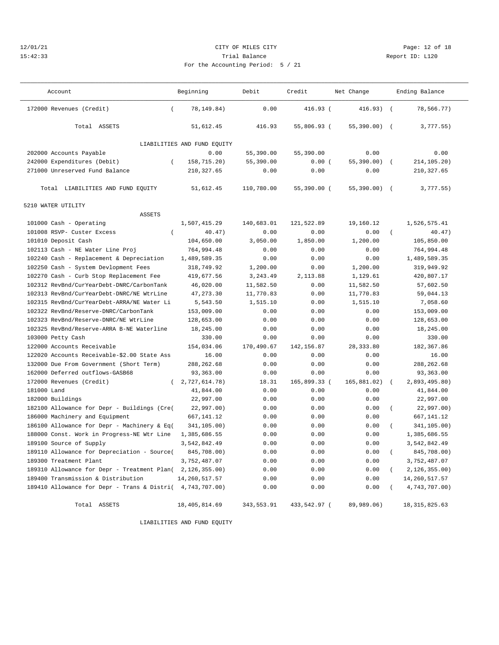## 12/01/21 **CITY OF MILES CITY CITY CITY Page: 12 of 18** 15:42:33 Trial Balance Report ID: L120 For the Accounting Period: 5 / 21

| Report |  |
|--------|--|
|        |  |

| Account                                                     | Beginning                   | Debit      | Credit        | Net Change     |            | Ending Balance  |  |
|-------------------------------------------------------------|-----------------------------|------------|---------------|----------------|------------|-----------------|--|
|                                                             |                             |            |               |                |            |                 |  |
| 172000 Revenues (Credit)<br>$\left($                        | 78,149.84)                  | 0.00       | $416.93$ (    | $416.93)$ (    |            | 78,566.77)      |  |
| Total ASSETS                                                | 51,612.45                   | 416.93     | 55,806.93 (   | $55,390.00)$ ( |            | 3,777.55)       |  |
|                                                             | LIABILITIES AND FUND EQUITY |            |               |                |            |                 |  |
| 202000 Accounts Payable                                     | 0.00                        | 55,390.00  | 55,390.00     | 0.00           |            | 0.00            |  |
| 242000 Expenditures (Debit)<br>$\left($                     | 158,715.20)                 | 55,390.00  | 0.00(         | $55,390.00)$ ( |            | 214,105.20)     |  |
| 271000 Unreserved Fund Balance                              | 210, 327.65                 | 0.00       | 0.00          | 0.00           |            | 210, 327.65     |  |
|                                                             |                             |            |               |                |            |                 |  |
| Total LIABILITIES AND FUND EQUITY                           | 51,612.45                   | 110,780.00 | $55,390.00$ ( | $55,390.00)$ ( |            | 3,777.55)       |  |
| 5210 WATER UTILITY                                          |                             |            |               |                |            |                 |  |
| <b>ASSETS</b>                                               |                             |            |               |                |            |                 |  |
| 101000 Cash - Operating                                     | 1,507,415.29                | 140,683.01 | 121,522.89    | 19,160.12      |            | 1,526,575.41    |  |
| 101008 RSVP- Custer Excess<br>$\left($                      | 40.47)                      | 0.00       | 0.00          | 0.00           | $\left($   | 40.47)          |  |
| 101010 Deposit Cash                                         | 104,650.00                  | 3,050.00   | 1,850.00      | 1,200.00       |            | 105,850.00      |  |
| 102113 Cash - NE Water Line Proj                            | 764,994.48                  | 0.00       | 0.00          | 0.00           |            | 764,994.48      |  |
| 102240 Cash - Replacement & Depreciation                    | 1,489,589.35                | 0.00       | 0.00          | 0.00           |            | 1,489,589.35    |  |
| 102250 Cash - System Devlopment Fees                        | 318,749.92                  | 1,200.00   | 0.00          | 1,200.00       |            | 319,949.92      |  |
| 102270 Cash - Curb Stop Replacement Fee                     | 419,677.56                  | 3,243.49   | 2,113.88      | 1,129.61       |            | 420,807.17      |  |
| 102312 RevBnd/CurYearDebt-DNRC/CarbonTank                   | 46,020.00                   | 11,582.50  | 0.00          | 11,582.50      |            | 57,602.50       |  |
| 102313 RevBnd/CurYearDebt-DNRC/NE WtrLine                   | 47, 273.30                  | 11,770.83  | 0.00          | 11,770.83      |            | 59,044.13       |  |
| 102315 RevBnd/CurYearDebt-ARRA/NE Water Li                  | 5,543.50                    | 1,515.10   | 0.00          | 1,515.10       |            | 7,058.60        |  |
| 102322 RevBnd/Reserve-DNRC/CarbonTank                       | 153,009.00                  | 0.00       | 0.00          | 0.00           |            | 153,009.00      |  |
| 102323 RevBnd/Reserve-DNRC/NE WtrLine                       | 128,653.00                  | 0.00       | 0.00          | 0.00           |            | 128,653.00      |  |
| 102325 RevBnd/Reserve-ARRA B-NE Waterline                   | 18,245.00                   | 0.00       | 0.00          | 0.00           |            | 18,245.00       |  |
| 103000 Petty Cash                                           | 330.00                      | 0.00       | 0.00          | 0.00           |            | 330.00          |  |
| 122000 Accounts Receivable                                  | 154,034.06                  | 170,490.67 | 142, 156.87   | 28, 333.80     |            | 182,367.86      |  |
| 122020 Accounts Receivable-\$2.00 State Ass                 | 16.00                       | 0.00       | 0.00          | 0.00           |            | 16.00           |  |
| 132000 Due From Government (Short Term)                     | 288, 262.68                 | 0.00       | 0.00          | 0.00           |            | 288, 262.68     |  |
| 162000 Deferred outflows-GASB68                             | 93,363.00                   | 0.00       | 0.00          | 0.00           |            | 93,363.00       |  |
| 172000 Revenues (Credit)<br>$\left($                        | 2,727,614.78)               | 18.31      | 165,899.33 (  | 165,881.02)    | $\sqrt{2}$ | 2,893,495.80)   |  |
| 181000 Land                                                 | 41,844.00                   | 0.00       | 0.00          | 0.00           |            | 41,844.00       |  |
| 182000 Buildings                                            | 22,997.00                   | 0.00       | 0.00          | 0.00           |            | 22,997.00       |  |
| 182100 Allowance for Depr - Buildings (Cre(                 | 22,997.00)                  | 0.00       | 0.00          | 0.00           |            | 22,997.00)      |  |
| 186000 Machinery and Equipment                              | 667,141.12                  | 0.00       | 0.00          | 0.00           |            | 667, 141. 12    |  |
| 186100 Allowance for Depr - Machinery & Eq(                 | 341,105.00)                 | 0.00       | 0.00          | 0.00           |            | 341,105.00)     |  |
| 188000 Const. Work in Progress-NE Wtr Line                  | 1,385,686.55                | 0.00       | 0.00          | 0.00           |            | 1,385,686.55    |  |
| 189100 Source of Supply                                     | 3,542,842.49                | 0.00       | 0.00          | 0.00           |            | 3,542,842.49    |  |
| 189110 Allowance for Depreciation - Source(                 | 845,708.00)                 | 0.00       | 0.00          | 0.00           | $\left($   | 845,708.00)     |  |
| 189300 Treatment Plant                                      | 3,752,487.07                | 0.00       | 0.00          | 0.00           |            | 3,752,487.07    |  |
| 189310 Allowance for Depr - Treatment Plan( 2, 126, 355.00) |                             | 0.00       | 0.00          | 0.00           |            | 2,126,355.00)   |  |
| 189400 Transmission & Distribution                          | 14, 260, 517.57             | 0.00       | 0.00          | 0.00           |            | 14,260,517.57   |  |
| 189410 Allowance for Depr - Trans & Distri(                 | 4,743,707.00)               | 0.00       | 0.00          | 0.00           | $\left($   | 4,743,707.00)   |  |
| Total ASSETS                                                | 18, 405, 814.69             | 343,553.91 | 433,542.97 (  | 89,989.06)     |            | 18, 315, 825.63 |  |

LIABILITIES AND FUND EQUITY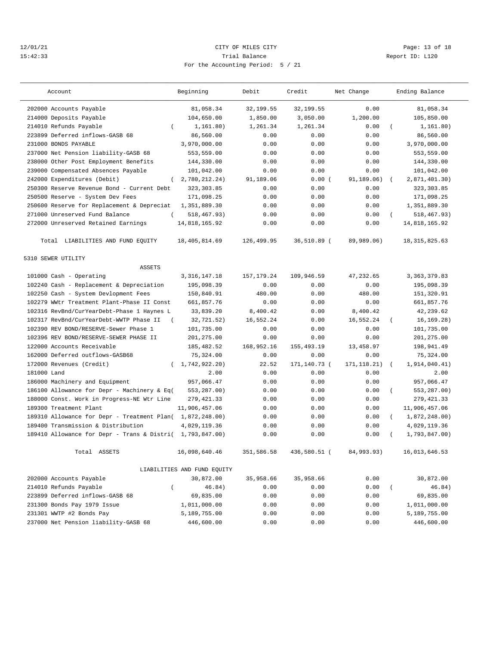## 12/01/21 **CITY OF MILES CITY CITY CITY PAGE:** 13 of 18 15:42:33 Trial Balance Report ID: L120 For the Accounting Period: 5 / 21

| Account                                                   | Beginning                   | Debit        | Credit       | Net Change   |            | Ending Balance  |
|-----------------------------------------------------------|-----------------------------|--------------|--------------|--------------|------------|-----------------|
| 202000 Accounts Payable                                   | 81,058.34                   | 32,199.55    | 32,199.55    | 0.00         |            | 81,058.34       |
| 214000 Deposits Payable                                   | 104,650.00                  | 1,850.00     | 3,050.00     | 1,200.00     |            | 105,850.00      |
| 214010 Refunds Payable<br>$\left($                        | 1,161.80)                   | 1,261.34     | 1,261.34     | 0.00         |            | 1, 161.80)      |
| 223899 Deferred inflows-GASB 68                           | 86,560.00                   | 0.00         | 0.00         | 0.00         |            | 86,560.00       |
| 231000 BONDS PAYABLE                                      | 3,970,000.00                | 0.00         | 0.00         | 0.00         |            | 3,970,000.00    |
| 237000 Net Pension liability-GASB 68                      | 553,559.00                  | 0.00         | 0.00         | 0.00         |            | 553,559.00      |
| 238000 Other Post Employment Benefits                     | 144,330.00                  | 0.00         | 0.00         | 0.00         |            | 144,330.00      |
| 239000 Compensated Absences Payable                       | 101,042.00                  | 0.00         | 0.00         | 0.00         |            | 101,042.00      |
| 242000 Expenditures (Debit)<br>$\left($                   | 2,780,212.24)               | 91,189.06    | 0.00(        | 91, 189, 06) | $\sqrt{2}$ | 2,871,401.30)   |
| 250300 Reserve Revenue Bond - Current Debt                | 323, 303.85                 | 0.00         | 0.00         | 0.00         |            | 323, 303.85     |
| 250500 Reserve - System Dev Fees                          | 171,098.25                  | 0.00         | 0.00         | 0.00         |            | 171,098.25      |
| 250600 Reserve for Replacement & Depreciat                | 1,351,889.30                | 0.00         | 0.00         | 0.00         |            | 1,351,889.30    |
| 271000 Unreserved Fund Balance                            | 518,467.93)                 | 0.00         | 0.00         | 0.00         |            | 518,467.93)     |
| 272000 Unreserved Retained Earnings                       | 14,818,165.92               | 0.00         | 0.00         | 0.00         |            | 14,818,165.92   |
| Total LIABILITIES AND FUND EQUITY                         | 18,405,814.69               | 126,499.95   | 36,510.89 (  | 89,989,06)   |            | 18, 315, 825.63 |
| 5310 SEWER UTILITY                                        |                             |              |              |              |            |                 |
| <b>ASSETS</b>                                             |                             |              |              |              |            |                 |
| 101000 Cash - Operating                                   | 3, 316, 147. 18             | 157, 179. 24 | 109,946.59   | 47,232.65    |            | 3, 363, 379.83  |
| 102240 Cash - Replacement & Depreciation                  | 195,098.39                  | 0.00         | 0.00         | 0.00         |            | 195,098.39      |
| 102250 Cash - System Devlopment Fees                      | 150,840.91                  | 480.00       | 0.00         | 480.00       |            | 151,320.91      |
| 102279 WWtr Treatment Plant-Phase II Const                | 661,857.76                  | 0.00         | 0.00         | 0.00         |            | 661,857.76      |
| 102316 RevBnd/CurYearDebt-Phase 1 Haynes L                | 33,839.20                   | 8,400.42     | 0.00         | 8,400.42     |            | 42,239.62       |
| 102317 RevBnd/CurYearDebt-WWTP Phase II                   | 32,721.52)                  | 16,552.24    | 0.00         | 16,552.24    |            | 16, 169.28)     |
| 102390 REV BOND/RESERVE-Sewer Phase 1                     | 101,735.00                  | 0.00         | 0.00         | 0.00         |            | 101,735.00      |
| 102396 REV BOND/RESERVE-SEWER PHASE II                    | 201,275.00                  | 0.00         | 0.00         | 0.00         |            | 201,275.00      |
| 122000 Accounts Receivable                                | 185, 482.52                 | 168,952.16   | 155, 493. 19 | 13,458.97    |            | 198,941.49      |
| 162000 Deferred outflows-GASB68                           | 75,324.00                   | 0.00         | 0.00         | 0.00         |            | 75,324.00       |
| 172000 Revenues (Credit)<br>$\left($                      | 1,742,922.20)               | 22.52        | 171,140.73 ( | 171, 118.21) | $\sqrt{2}$ | 1,914,040.41)   |
| 181000 Land                                               | 2.00                        | 0.00         | 0.00         | 0.00         |            | 2.00            |
| 186000 Machinery and Equipment                            | 957,066.47                  | 0.00         | 0.00         | 0.00         |            | 957,066.47      |
| 186100 Allowance for Depr - Machinery & Eq(               | 553,287.00)                 | 0.00         | 0.00         | 0.00         | $\left($   | 553,287.00)     |
| 188000 Const. Work in Progress-NE Wtr Line                | 279, 421.33                 | 0.00         | 0.00         | 0.00         |            | 279, 421.33     |
| 189300 Treatment Plant                                    | 11,906,457.06               | 0.00         | 0.00         | 0.00         |            | 11,906,457.06   |
| 189310 Allowance for Depr - Treatment Plan( 1,872,248.00) |                             | 0.00         | 0.00         | 0.00         | $\left($   | 1,872,248.00)   |
| 189400 Transmission & Distribution                        | 4,029,119.36                | 0.00         | 0.00         | 0.00         |            | 4,029,119.36    |
| 189410 Allowance for Depr - Trans & Distri(               | 1,793,847.00)               | 0.00         | 0.00         | 0.00         |            | 1,793,847.00)   |
| Total ASSETS                                              | 16,098,640.46               | 351,586.58   | 436,580.51 ( | 84,993.93)   |            | 16,013,646.53   |
|                                                           | LIABILITIES AND FUND EQUITY |              |              |              |            |                 |
| 202000 Accounts Payable                                   | 30,872.00                   | 35,958.66    | 35,958.66    | 0.00         |            | 30,872.00       |
| 214010 Refunds Payable<br>$\left($                        | 46.84)                      | 0.00         | 0.00         | 0.00         | $\left($   | 46.84)          |
| 223899 Deferred inflows-GASB 68                           | 69,835.00                   | 0.00         | 0.00         | 0.00         |            | 69,835.00       |
| 231300 Bonds Pay 1979 Issue                               | 1,011,000.00                | 0.00         | 0.00         | 0.00         |            | 1,011,000.00    |
| 231301 WWTP #2 Bonds Pay                                  | 5,189,755.00                | 0.00         | 0.00         | 0.00         |            | 5,189,755.00    |
| 237000 Net Pension liability-GASB 68                      | 446,600.00                  | 0.00         | 0.00         | 0.00         |            | 446,600.00      |
|                                                           |                             |              |              |              |            |                 |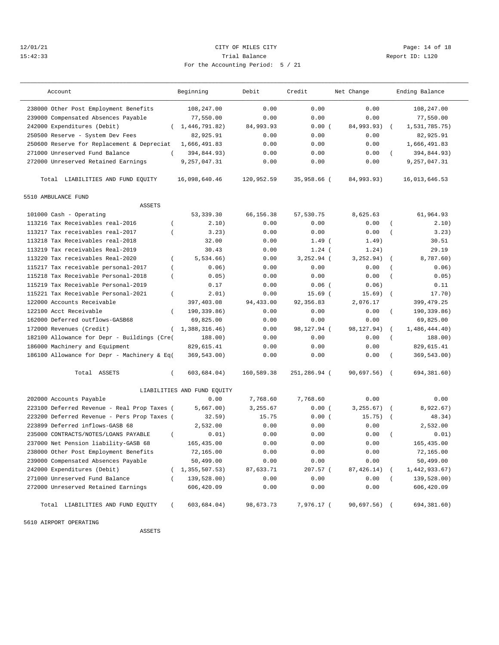## 12/01/21 Page: 14 of 18 15:42:33 Trial Balance Report ID: L120 For the Accounting Period: 5 / 21

| Account                                               | Beginning                   | Debit      | Credit        | Net Change   | Ending Balance              |
|-------------------------------------------------------|-----------------------------|------------|---------------|--------------|-----------------------------|
| 238000 Other Post Employment Benefits                 | 108,247.00                  | 0.00       | 0.00          | 0.00         | 108,247.00                  |
| 239000 Compensated Absences Payable                   | 77,550.00                   | 0.00       | 0.00          | 0.00         | 77,550.00                   |
| 242000 Expenditures (Debit)                           | (1, 446, 791.82)            | 84,993.93  | 0.00(         | 84,993.93)   | 1,531,785.75)               |
| 250500 Reserve - System Dev Fees                      | 82,925.91                   | 0.00       | 0.00          | 0.00         | 82,925.91                   |
| 250600 Reserve for Replacement & Depreciat            | 1,666,491.83                | 0.00       | 0.00          | 0.00         | 1,666,491.83                |
| 271000 Unreserved Fund Balance<br>$\left($            | 394,844.93)                 | 0.00       | 0.00          | 0.00         | 394,844.93)<br>$\left($     |
| 272000 Unreserved Retained Earnings                   | 9,257,047.31                | 0.00       | 0.00          | 0.00         | 9,257,047.31                |
| Total LIABILITIES AND FUND EQUITY                     | 16,098,640.46               | 120,952.59 | 35,958.66 (   | 84,993.93)   | 16,013,646.53               |
| 5510 AMBULANCE FUND                                   |                             |            |               |              |                             |
| <b>ASSETS</b>                                         |                             |            |               |              |                             |
| 101000 Cash - Operating                               | 53,339.30                   | 66,156.38  | 57,530.75     | 8,625.63     | 61,964.93                   |
| 113216 Tax Receivables real-2016<br>$\left($          | 2.10)                       | 0.00       | 0.00          | 0.00         | 2.10)<br>$\left($           |
| 113217 Tax receivables real-2017<br>$\overline{ }$    | 3.23)                       | 0.00       | 0.00          | 0.00         | 3.23)<br>$\left($           |
| 113218 Tax Receivables real-2018                      | 32.00                       | 0.00       | $1.49$ (      | 1.49)        | 30.51                       |
| 113219 Tax receivables Real-2019                      | 30.43                       | 0.00       | $1.24$ (      | 1.24)        | 29.19                       |
| 113220 Tax receivables Real-2020<br>$\overline{ }$    | 5,534.66)                   | 0.00       | $3, 252.94$ ( | 3, 252.94)   | 8,787.60)                   |
| 115217 Tax receivable personal-2017<br>$\left($       | 0.06)                       | 0.00       | 0.00          | 0.00         | 0.06)                       |
| 115218 Tax Receivable Personal-2018<br>$\overline{ }$ | 0.05)                       | 0.00       | 0.00          | 0.00         | 0.05)<br>$\left($           |
| 115219 Tax Receivable Personal-2019                   | 0.17                        | 0.00       | $0.06$ (      | 0.06)        | 0.11                        |
| 115221 Tax Receivable Personal-2021<br>$\overline{ }$ | 2.01)                       | 0.00       | $15.69$ (     | 15.69)       | 17.70)                      |
| 122000 Accounts Receivable                            | 397,403.08                  | 94,433.00  | 92, 356.83    | 2,076.17     | 399, 479. 25                |
| 122100 Acct Receivable<br>$\left($                    | 190,339.86)                 | 0.00       | 0.00          | 0.00         | 190,339.86)<br>$\left($     |
| 162000 Deferred outflows-GASB68                       | 69,825.00                   | 0.00       | 0.00          | 0.00         | 69,825.00                   |
| 172000 Revenues (Credit)<br>$\left($                  | 1,388,316.46)               | 0.00       | 98,127.94 (   | 98,127.94)   | 1,486,444.40)<br>$\left($   |
| 182100 Allowance for Depr - Buildings (Cre(           | 188.00)                     | 0.00       | 0.00          | 0.00         | 188.00)<br>$\overline{(\ }$ |
| 186000 Machinery and Equipment                        | 829,615.41                  | 0.00       | 0.00          | 0.00         | 829,615.41                  |
| 186100 Allowance for Depr - Machinery & Eq(           | 369,543.00)                 | 0.00       | 0.00          | 0.00         | 369,543.00)<br>$\left($     |
| Total ASSETS<br>$\left($                              | 603,684.04)                 | 160,589.38 | 251,286.94 (  | 90,697.56) ( | 694,381.60)                 |
|                                                       | LIABILITIES AND FUND EQUITY |            |               |              |                             |
| 202000 Accounts Payable                               | 0.00                        | 7,768.60   | 7,768.60      | 0.00         | 0.00                        |
| 223100 Deferred Revenue - Real Prop Taxes (           | 5,667.00)                   | 3,255.67   | 0.00(         | 3, 255.67)   | 8,922.67)<br>$\sqrt{2}$     |
| 223200 Deferred Revenue - Pers Prop Taxes (           | 32.59)                      | 15.75      | 0.00(         | 15.75)       | 48.34)<br>$\sqrt{ }$        |
| 223899 Deferred inflows-GASB 68                       | 2,532.00                    | 0.00       | 0.00          | 0.00         | 2,532.00                    |
| 235000 CONTRACTS/NOTES/LOANS PAYABLE<br>$\left($      | 0.01)                       | 0.00       | 0.00          | 0.00         | 0.01)<br>$\left($           |
| 237000 Net Pension liability-GASB 68                  | 165,435.00                  | 0.00       | 0.00          | 0.00         | 165,435.00                  |
| 238000 Other Post Employment Benefits                 | 72,165.00                   | 0.00       | 0.00          | 0.00         | 72,165.00                   |
| 239000 Compensated Absences Payable                   | 50,499.00                   | 0.00       | 0.00          | 0.00         | 50,499.00                   |
| 242000 Expenditures (Debit)                           | 1,355,507.53)               | 87,633.71  | 207.57 (      | 87,426.14)   | 1,442,933.67)               |
| 271000 Unreserved Fund Balance                        | 139,528.00)                 | 0.00       | 0.00          | 0.00         | 139,528.00)                 |
| 272000 Unreserved Retained Earnings                   | 606,420.09                  | 0.00       | 0.00          | 0.00         | 606,420.09                  |
| Total LIABILITIES AND FUND EQUITY<br>$\left($         | 603,684.04)                 | 98,673.73  | 7,976.17 (    | 90,697.56) ( | 694,381.60)                 |

5610 AIRPORT OPERATING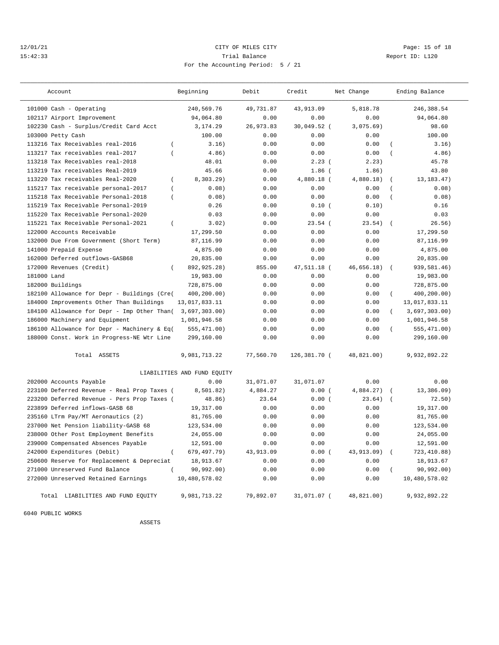## 12/01/21 Page: 15 of 18 15:42:33 Trial Balance Report ID: L120 For the Accounting Period: 5 / 21

| Account                                                 | Beginning                   | Debit      | Credit       | Net Change  | Ending Balance                   |
|---------------------------------------------------------|-----------------------------|------------|--------------|-------------|----------------------------------|
| 101000 Cash - Operating                                 | 240,569.76                  | 49,731.87  | 43,913.09    | 5,818.78    | 246, 388.54                      |
| 102117 Airport Improvement                              | 94,064.80                   | 0.00       | 0.00         | 0.00        | 94,064.80                        |
| 102230 Cash - Surplus/Credit Card Acct                  | 3, 174.29                   | 26, 973.83 | 30,049.52 (  | 3,075.69)   | 98.60                            |
| 103000 Petty Cash                                       | 100.00                      | 0.00       | 0.00         | 0.00        | 100.00                           |
| $\overline{(\ }$<br>113216 Tax Receivables real-2016    | 3.16)                       | 0.00       | 0.00         | 0.00        | 3.16)<br>$\overline{ }$          |
| 113217 Tax receivables real-2017<br>$\overline{(\ }$    | 4.86)                       | 0.00       | 0.00         | 0.00        | $\overline{(\ }$<br>4.86)        |
| 113218 Tax Receivables real-2018                        | 48.01                       | 0.00       | 2.23(        | 2.23)       | 45.78                            |
| 113219 Tax receivables Real-2019                        | 45.66                       | 0.00       | $1.86$ (     | 1.86)       | 43.80                            |
| 113220 Tax receivables Real-2020<br>$\overline{(\ }$    | 8,303.29)                   | 0.00       | 4,880.18 (   | 4,880.18)   | 13, 183. 47)<br>$\overline{(\ }$ |
| 115217 Tax receivable personal-2017<br>$\left($         | 0.08)                       | 0.00       | 0.00         | 0.00        | 0.08)<br>$\overline{(\ }$        |
| 115218 Tax Receivable Personal-2018<br>$\overline{(\ }$ | 0.08)                       | 0.00       | 0.00         | 0.00        | 0.08)<br>$\overline{(\ }$        |
| 115219 Tax Receivable Personal-2019                     | 0.26                        | 0.00       | 0.10(        | 0.10)       | 0.16                             |
| 115220 Tax Receivable Personal-2020                     | 0.03                        | 0.00       | 0.00         | 0.00        | 0.03                             |
| 115221 Tax Receivable Personal-2021<br>$\left($         | 3.02                        | 0.00       | $23.54$ (    | 23.54)      | 26.56)<br>$\sqrt{ }$             |
| 122000 Accounts Receivable                              | 17,299.50                   | 0.00       | 0.00         | 0.00        | 17,299.50                        |
| 132000 Due From Government (Short Term)                 | 87,116.99                   | 0.00       | 0.00         | 0.00        | 87,116.99                        |
| 141000 Prepaid Expense                                  | 4,875.00                    | 0.00       | 0.00         | 0.00        | 4,875.00                         |
| 162000 Deferred outflows-GASB68                         | 20,835.00                   | 0.00       | 0.00         | 0.00        | 20,835.00                        |
| 172000 Revenues (Credit)<br>$\left($                    | 892,925.28)                 | 855.00     | 47,511.18 (  | 46,656.18)  | 939,581.46)<br>$\sqrt{ }$        |
| 181000 Land                                             | 19,983.00                   | 0.00       | 0.00         | 0.00        | 19,983.00                        |
| 182000 Buildings                                        | 728,875.00                  | 0.00       | 0.00         | 0.00        | 728,875.00                       |
| 182100 Allowance for Depr - Buildings (Cre(             | 400,200.00)                 | 0.00       | 0.00         | 0.00        | 400,200.00)<br>$\overline{(\ }$  |
| 184000 Improvements Other Than Buildings                | 13,017,833.11               | 0.00       | 0.00         | 0.00        | 13,017,833.11                    |
| 184100 Allowance for Depr - Imp Other Than(             | 3,697,303.00)               | 0.00       | 0.00         | 0.00        | 3,697,303.00<br>$\left($         |
| 186000 Machinery and Equipment                          | 1,001,946.58                | 0.00       | 0.00         | 0.00        | 1,001,946.58                     |
| 186100 Allowance for Depr - Machinery & Eq(             | 555, 471.00)                | 0.00       | 0.00         | 0.00        | 555,471.00)<br>$\overline{(\ }$  |
| 188000 Const. Work in Progress-NE Wtr Line              | 299,160.00                  | 0.00       | 0.00         | 0.00        | 299,160.00                       |
| Total ASSETS                                            | 9,981,713.22                | 77,560.70  | 126,381.70 ( | 48,821.00)  | 9,932,892.22                     |
|                                                         | LIABILITIES AND FUND EQUITY |            |              |             |                                  |
| 202000 Accounts Payable                                 | 0.00                        | 31,071.07  | 31,071.07    | 0.00        | 0.00                             |
| 223100 Deferred Revenue - Real Prop Taxes (             | 8,501.82)                   | 4,884.27   | 0.00(        | 4,884.27)   | 13,386.09)<br>$\sqrt{ }$         |
| 223200 Deferred Revenue - Pers Prop Taxes (             | 48.86)                      | 23.64      | 0.00(        | 23.64)      | 72.50)                           |
| 223899 Deferred inflows-GASB 68                         | 19,317.00                   | 0.00       | 0.00         | 0.00        | 19,317.00                        |
| 235160 LTrm Pay/MT Aeronautics (2)                      | 81,765.00                   | 0.00       | 0.00         | 0.00        | 81,765.00                        |
| 237000 Net Pension liability-GASB 68                    | 123,534.00                  | 0.00       | 0.00         | 0.00        | 123,534.00                       |
| 238000 Other Post Employment Benefits                   | 24,055.00                   | 0.00       | 0.00         | 0.00        | 24,055.00                        |
| 239000 Compensated Absences Payable                     | 12,591.00                   | 0.00       | 0.00         | 0.00        | 12,591.00                        |
| 242000 Expenditures (Debit)<br>$\left($                 | 679, 497. 79)               | 43,913.09  | 0.00(        | 43, 913.09) | 723, 410.88)<br>$\sqrt{ }$       |
| 250600 Reserve for Replacement & Depreciat              | 18,913.67                   | 0.00       | 0.00         | 0.00        | 18,913.67                        |
| 271000 Unreserved Fund Balance                          | 90.992.00)                  | 0.00       | 0.00         | 0.00        | 90.992.00)<br>$\left($           |
| 272000 Unreserved Retained Earnings                     | 10,480,578.02               | 0.00       | 0.00         | 0.00        | 10,480,578.02                    |
| Total LIABILITIES AND FUND EOUITY                       | 9,981,713.22                | 79,892.07  | 31,071.07 (  | 48,821,00)  | 9,932,892.22                     |

6040 PUBLIC WORKS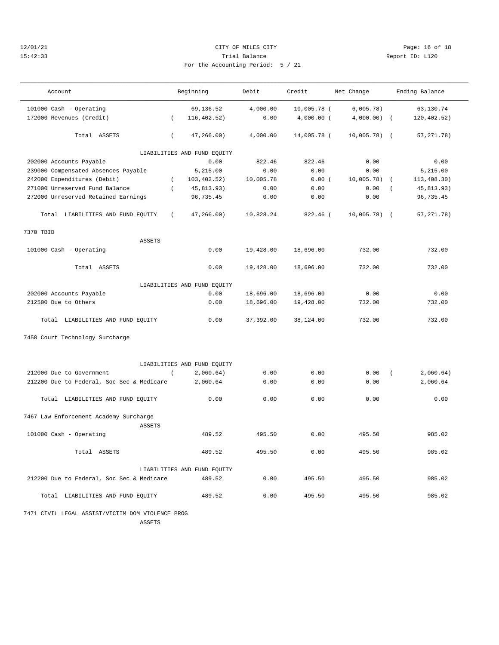## 12/01/21 **CITY OF MILES CITY CITY CITY Page: 16 of 18** 15:42:33 Trial Balance Report ID: L120 For the Accounting Period: 5 / 21

| $\sim$ $\sim$ $\sim$ |  |  |  |
|----------------------|--|--|--|
|                      |  |  |  |

| Account                                          | Beginning                      | Debit      | Credit       | Net Change    | Ending Balance             |  |
|--------------------------------------------------|--------------------------------|------------|--------------|---------------|----------------------------|--|
| 101000 Cash - Operating                          | 69,136.52                      | 4,000.00   | 10,005.78 (  | 6,005.78)     | 63,130.74                  |  |
| 172000 Revenues (Credit)                         | 116, 402.52)<br>$\overline{ }$ | 0.00       | $4,000.00$ ( | 4,000.00)     | 120, 402.52)<br>$\sqrt{ }$ |  |
| Total ASSETS                                     | 47,266.00)<br>$\left($         | 4,000.00   | 14,005.78 (  | $10,005.78$ ( | 57, 271. 78)               |  |
|                                                  | LIABILITIES AND FUND EQUITY    |            |              |               |                            |  |
| 202000 Accounts Payable                          | 0.00                           | 822.46     | 822.46       | 0.00          | 0.00                       |  |
| 239000 Compensated Absences Payable              | 5,215.00                       | 0.00       | 0.00         | 0.00          | 5,215.00                   |  |
| 242000 Expenditures (Debit)                      | 103, 402.52)<br>$\left($       | 10,005.78  | 0.00(        | 10,005.78)    | 113, 408.30)               |  |
| 271000 Unreserved Fund Balance                   | $\overline{(\ }$<br>45,813.93) | 0.00       | 0.00         | 0.00          | 45,813.93)                 |  |
| 272000 Unreserved Retained Earnings              | 96, 735.45                     | 0.00       | 0.00         | 0.00          | 96,735.45                  |  |
| Total LIABILITIES AND FUND EQUITY                | 47, 266.00)<br>$\left($        | 10,828.24  | 822.46 (     | $10,005.78$ ( | 57, 271.78)                |  |
| 7370 TBID                                        |                                |            |              |               |                            |  |
| <b>ASSETS</b>                                    |                                |            |              |               |                            |  |
| 101000 Cash - Operating                          | 0.00                           | 19,428.00  | 18,696.00    | 732.00        | 732.00                     |  |
| Total ASSETS                                     | 0.00                           | 19,428.00  | 18,696.00    | 732.00        | 732.00                     |  |
| LIABILITIES AND FUND EQUITY                      |                                |            |              |               |                            |  |
| 202000 Accounts Payable                          | 0.00                           | 18,696.00  | 18,696.00    | 0.00          | 0.00                       |  |
| 212500 Due to Others                             | 0.00                           | 18,696.00  | 19,428.00    | 732.00        | 732.00                     |  |
| Total LIABILITIES AND FUND EQUITY                | 0.00                           | 37, 392.00 | 38,124.00    | 732.00        | 732.00                     |  |
| 7458 Court Technology Surcharge                  |                                |            |              |               |                            |  |
|                                                  | LIABILITIES AND FUND EQUITY    |            |              |               |                            |  |
| 212000 Due to Government                         | $\overline{(\ }$<br>2,060.64)  | 0.00       | 0.00         | 0.00          | 2,060.64)<br>$\sqrt{2}$    |  |
| 212200 Due to Federal, Soc Sec & Medicare        | 2,060.64                       | 0.00       | 0.00         | 0.00          | 2,060.64                   |  |
| Total LIABILITIES AND FUND EQUITY                | 0.00                           | 0.00       | 0.00         | 0.00          | 0.00                       |  |
| 7467 Law Enforcement Academy Surcharge<br>ASSETS |                                |            |              |               |                            |  |
| 101000 Cash - Operating                          | 489.52                         | 495.50     | 0.00         | 495.50        | 985.02                     |  |
| Total ASSETS                                     | 489.52                         | 495.50     | 0.00         | 495.50        | 985.02                     |  |
|                                                  | LIABILITIES AND FUND EQUITY    |            |              |               |                            |  |
| 212200 Due to Federal, Soc Sec & Medicare        | 489.52                         | 0.00       | 495.50       | 495.50        | 985.02                     |  |
| Total LIABILITIES AND FUND EQUITY                | 489.52                         | 0.00       | 495.50       | 495.50        | 985.02                     |  |

 7471 CIVIL LEGAL ASSIST/VICTIM DOM VIOLENCE PROG ASSETS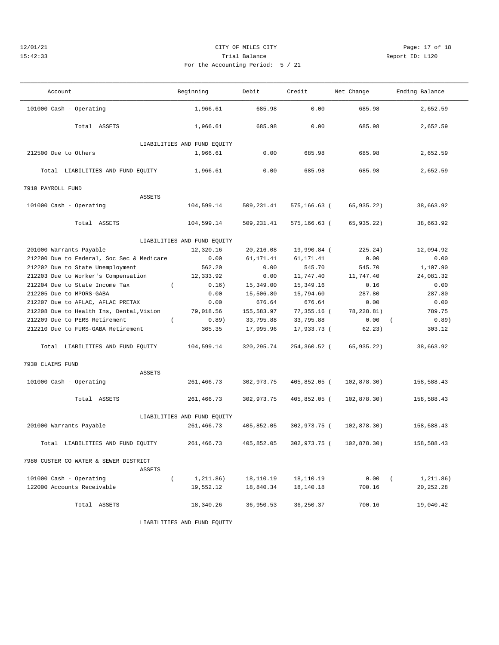## 12/01/21 Page: 17 of 18 15:42:33 Trial Balance Report ID: L120 For the Accounting Period: 5 / 21

| Account                                         | Beginning                   | Debit       | Credit          | Net Change  | Ending Balance        |
|-------------------------------------------------|-----------------------------|-------------|-----------------|-------------|-----------------------|
| 101000 Cash - Operating                         | 1,966.61                    | 685.98      | 0.00            | 685.98      | 2,652.59              |
| Total ASSETS                                    | 1,966.61                    | 685.98      | 0.00            | 685.98      | 2,652.59              |
|                                                 | LIABILITIES AND FUND EQUITY |             |                 |             |                       |
| 212500 Due to Others                            | 1,966.61                    | 0.00        | 685.98          | 685.98      | 2,652.59              |
| Total LIABILITIES AND FUND EQUITY               | 1,966.61                    | 0.00        | 685.98          | 685.98      | 2,652.59              |
| 7910 PAYROLL FUND                               |                             |             |                 |             |                       |
| <b>ASSETS</b>                                   |                             |             |                 |             |                       |
| 101000 Cash - Operating                         | 104,599.14                  | 509,231.41  | 575,166.63 (    | 65,935.22)  | 38,663.92             |
| Total ASSETS                                    | 104,599.14                  | 509,231.41  | $575, 166.63$ ( | 65,935.22)  | 38,663.92             |
|                                                 | LIABILITIES AND FUND EQUITY |             |                 |             |                       |
| 201000 Warrants Payable                         | 12,320.16                   | 20,216.08   | 19,990.84 (     | 225.24)     | 12,094.92             |
| 212200 Due to Federal, Soc Sec & Medicare       | 0.00                        | 61, 171.41  | 61, 171.41      | 0.00        | 0.00                  |
| 212202 Due to State Unemployment                | 562.20                      | 0.00        | 545.70          | 545.70      | 1,107.90              |
| 212203 Due to Worker's Compensation             | 12,333.92                   | 0.00        | 11,747.40       | 11,747.40   | 24,081.32             |
| 212204 Due to State Income Tax<br>$\left($      | 0.16)                       | 15,349.00   | 15, 349. 16     | 0.16        | 0.00                  |
| 212205 Due to MPORS-GABA                        | 0.00                        | 15,506.80   | 15,794.60       | 287.80      | 287.80                |
| 212207 Due to AFLAC, AFLAC PRETAX               | 0.00                        | 676.64      | 676.64          | 0.00        | 0.00                  |
| 212208 Due to Health Ins, Dental, Vision        | 79,018.56                   | 155,583.97  | 77,355.16 (     | 78,228.81)  | 789.75                |
| 212209 Due to PERS Retirement<br>$\left($       | 0.89)                       | 33,795.88   | 33,795.88       | 0.00        | 0.89)<br>$\left($     |
| 212210 Due to FURS-GABA Retirement              | 365.35                      | 17,995.96   | 17,933.73 (     | 62.23)      | 303.12                |
| Total LIABILITIES AND FUND EQUITY               | 104,599.14                  | 320, 295.74 | 254,360.52 (    | 65,935.22)  | 38,663.92             |
| 7930 CLAIMS FUND                                |                             |             |                 |             |                       |
| ASSETS                                          |                             |             |                 |             |                       |
| 101000 Cash - Operating                         | 261,466.73                  | 302,973.75  | 405,852.05 (    | 102,878.30) | 158,588.43            |
| Total ASSETS                                    | 261,466.73                  | 302,973.75  | 405,852.05 (    | 102,878.30) | 158,588.43            |
| LIABILITIES AND FUND EQUITY                     |                             |             |                 |             |                       |
| 201000 Warrants Payable                         | 261,466.73                  | 405,852.05  | 302,973.75 (    | 102,878.30) | 158,588.43            |
| Total LIABILITIES AND FUND EQUITY               | 261,466.73                  | 405,852.05  | 302,973.75 (    | 102,878.30) | 158,588.43            |
| 7980 CUSTER CO WATER & SEWER DISTRICT<br>ASSETS |                             |             |                 |             |                       |
| 101000 Cash - Operating<br>$\left($             | 1,211.86)                   | 18,110.19   | 18,110.19       | 0.00        | $\left($<br>1,211.86) |
| 122000 Accounts Receivable                      | 19,552.12                   | 18,840.34   | 18,140.18       | 700.16      | 20, 252. 28           |
| Total ASSETS                                    | 18,340.26                   | 36,950.53   | 36, 250.37      | 700.16      | 19,040.42             |
|                                                 | LIABILITIES AND FUND EQUITY |             |                 |             |                       |